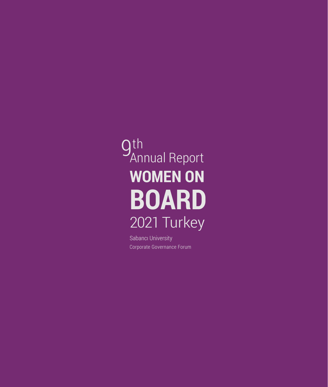# **gth**<br>An Annual Report**WOMEN ON BOARD** 2021 Turkey

Sabancı University Corporate Governance Forum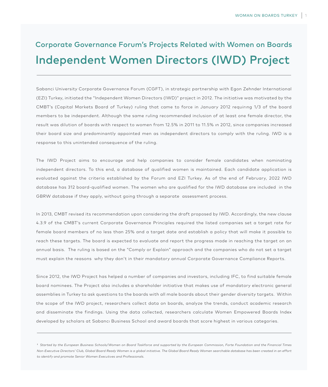# Independent Women Directors (IWD) Project Corporate Governance Forum's Projects Related with Women on Boards

Sabanci University Corporate Governance Forum (CGFT), in strategic partnership with Egon Zehnder International (EZI) Turkey, initiated the "Independent Women Directors (IWD)" project in 2012. The initiative was motivated by the CMBT's (Capital Markets Board of Turkey) ruling that came to force in January 2012 requirıng 1/3 of the board members to be independent. Although the same ruling recommended inclusion of at least one female director, the result was dilution of boards with respect to women from 12.5% in 2011 to 11.5% ın 2012, since companies increased their board size and predominantly appointed men as independent directors to comply with the ruling. IWD is a response to this unintended consequence of the ruling.

The IWD Project aims to encourage and help companies to consider female candidates when nominating independent directors. To this end, a database of qualified women is maintained. Each candidate application is evaluated against the criteria established by the Forum and EZI Turkey. As of the end of February, 2022 IWD database has 312 board-qualified women. The women who are qualified for the IWD database are included in the GBRW database if they apply, without going through a separate assessment process.

In 2013, CMBT revised its recommendation upon considering the draft proposed by IWD. Accordingly, the new clause 4.3.9 of the CMBT's current Corporate Governance Principles required the listed companies set a target rate for female board members of no less than 25% and a target date and establish a policy that will make it possible to reach these targets. The board is expected to evaluate and report the progress made in reaching the target on an annual basis. The ruling is based on the "Comply or Explain" approach and the companies who do not set a target must explain the reasons why they don't in their mandatory annual Corporate Governance Compliance Reports.

Since 2012, the IWD Project has helped a number of companies and investors, including IFC, to find suitable female board nominees. The Project also includes a shareholder initiative that makes use of mandatory electronic general assemblies in Turkey to ask questions to the boards with all male boards about their gender diversity targets. Within the scope of the IWD project, researchers collect data on boards, analyze the trends, conduct academic research and disseminate the findings. Using the data collected, researchers calculate Women Empowered Boards Index developed by scholars at Sabancı Business School and award boards that score highest in various categories.

<sup>&</sup>lt;sup>1</sup> Started by the European Business Schools/Women on Board Taskforce and supported by the European Commission, Forte Foundation and the Financial Times *Non-Executive Directors' Club, Global Board Ready Women is a global initiative. The Global Board Ready Women searchable database has been created in an effort to identify and promote Senior Women Executives and Professionals.*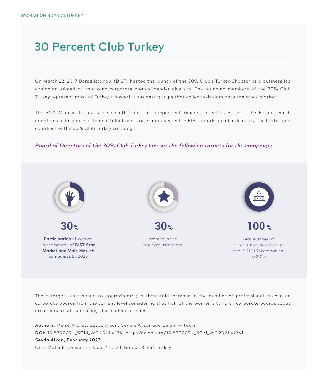# 30 Percent Club Turkey

On March 22, 2017 Borsa Istanbul (BIST) hosted the launch of the 30% Club's Turkey Chapter as a business led campaign, aimed at improving corporate boards' gender diversity. The founding members of the 30% Club Turkey represent most of Turkey's powerful business groups that collectively dominate the stock market.

The 30% Club in Turkey is a spin off from the Independent Women Directors Project. The Forum, which maintains a database of female talent and tracks improvement in BIST boards' gender diversity, facilitates and coordinates the 30% Club Turkey campaign.

#### *Board of Directors of the 30% Club Turkey has set the following targets for the campaign:*



These targets correspond to approximately a three-fold increase in the number of professional women on corporate boards from the current level considering that half of the women sitting on corporate boards today are members of controlling shareholder families.

Authors: Melsa Ararat, Sevda Alkan, Cemile Avşar and Belgin Aytekin DOI: 10.5900/SU\_SOM\_WP.2021.42761 http://dx.doi.org/10.5900/SU\_SOM\_WP.2021.42761 Sevda Alkan, February 2022 Orta Mahalle, Universite Cad. No.27 Istanbul, 34956 Turkey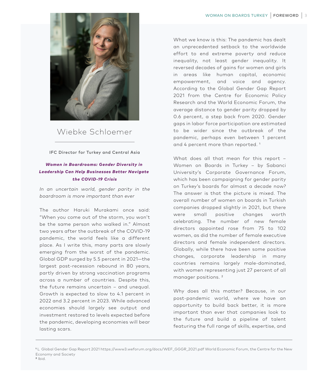

# Wiebke Schloemer

#### IFC Director for Turkey and Central Asia

#### *Women in Boardrooms: Gender Diversity in Leadership Can Help Businesses Better Navigate the COVID-19 Crisis*

*In an uncertain world, gender parity in the boardroom is more important than ever* 

The author Haruki Murakami once said: "When you come out of the storm, you won't be the same person who walked in." Almost two years after the outbreak of the COVID-19 pandemic, the world feels like a different place. As I write this, many parts are slowly emerging from the worst of the pandemic. Global GDP surged by 5.5 percent in 2021—the largest post-recession rebound in 80 years, partly driven by strong vaccination programs across a number of countries. Despite this, the future remains uncertain – and unequal. Growth is expected to slow to 4.1 percent in 2022 and 3.2 percent in 2023. While advanced economies should largely see output and investment restored to levels expected before the pandemic, developing economies will bear lasting scars.

What we know is this: The pandemic has dealt an unprecedented setback to the worldwide effort to end extreme poverty and reduce inequality, not least gender inequality. It reversed decades of gains for women and girls in areas like human capital, economic empowerment, and voice and agency. According to the Global Gender Gap Report 2021 from the Centre for Economic Policy Research and the World Economic Forum, the average distance to gender parity dropped by 0.6 percent, a step back from 2020. Gender gaps in labor force participation are estimated to be wider since the outbreak of the pandemic, perhaps even between 1 percent and 4 percent more than reported. 1

What does all that mean for this report – Women on Boards in Turkey – by Sabanci University's Corporate Governance Forum, which has been campaigning for gender parity on Turkey's boards for almost a decade now? The answer is that the picture is mixed. The overall number of women on boards in Turkish companies dropped slightly in 2021, but there were small positive changes worth celebrating. The number of new female directors appointed rose from 75 to 102 women, as did the number of female executive directors and female independent directors. Globally, while there have been some positive changes, corporate leadership in many countries remains largely male-dominated, with women representing just 27 percent of all manager positions. 2

Why does all this matter? Because, in our post-pandemic world, where we have an opportunity to build back better, it is more important than ever that companies look to the future and build a pipeline of talent featuring the full range of skills, expertise, and

**<sup>1</sup>** L Global Gender Gap Report 2021 https://www3.weforum.org/docs/WEF\_GGGR\_2021.pdf World Economic Forum, the Centre for the New Economy and Society **2** Ibid.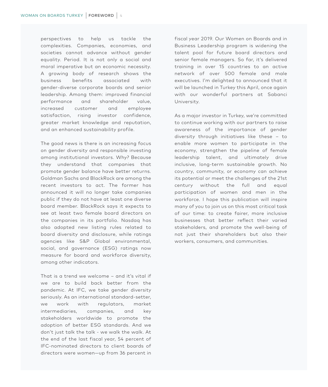perspectives to help us tackle the complexities. Companies, economies, and societies cannot advance without gender equality. Period. It is not only a social and moral imperative but an economic necessity. A growing body of research shows the business benefits associated with gender-diverse corporate boards and senior leadership. Among them: improved financial performance and shareholder value, increased customer and employee satisfaction, rising investor confidence, greater market knowledge and reputation, and an enhanced sustainability profile.

The good news is there is an increasing focus on gender diversity and responsible investing among institutional investors. Why? Because they understand that companies that promote gender balance have better returns. Goldman Sachs and BlackRock are among the recent investors to act. The former has announced it will no longer take companies public if they do not have at least one diverse board member. BlackRock says it expects to see at least two female board directors on the companies in its portfolio. Nasdaq has also adopted new listing rules related to board diversity and disclosure, while ratings agencies like S&P Global environmental, social, and governance (ESG) ratings now measure for board and workforce diversity, among other indicators.

That is a trend we welcome – and it's vital if we are to build back better from the pandemic. At IFC, we take gender diversity seriously. As an international standard-setter, we work with regulators, market intermediaries, companies, and key stakeholders worldwide to promote the adoption of better ESG standards. And we don't just talk the talk - we walk the walk. At the end of the last fiscal year, 54 percent of IFC-nominated directors to client boards of directors were women—up from 36 percent in

fiscal year 2019. Our Women on Boards and in Business Leadership program is widening the talent pool for future board directors and senior female managers. So far, it's delivered training in over 15 countries to an active network of over 500 female and male executives. I'm delighted to announced that it will be launched in Turkey this April, once again with our wonderful partners at Sabanci University.

As a major investor in Turkey, we're committed to continue working with our partners to raise awareness of the importance of gender diversity through initiatives like these – to enable more women to participate in the economy, strengthen the pipeline of female leadership talent, and ultimately drive inclusive, long-term sustainable growth. No country, community, or economy can achieve its potential or meet the challenges of the 21st century without the full and equal participation of women and men in the workforce. I hope this publication will inspire many of you to join us on this most critical task of our time: to create fairer, more inclusive businesses that better reflect their varied stakeholders, and promote the well-being of not just their shareholders but also their workers, consumers, and communities.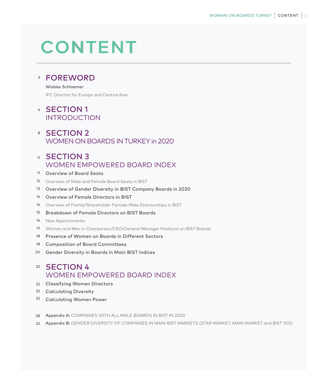# **CONTENT**

# 3 FOREWORD

#### Wiebke Schloemer

IFC Director for Europe and Central Asia

# 6 SECTION 1 INTRODUCTION

# 8 SECTION 2 WOMEN ON BOARDS IN TURKEY in 2020

# 11 SECTION 3 WOMEN EMPOWERED BOARD INDEX

- 11 Overview of Board Seats
- 12 Overview of Male and Female Board Seats in BIST
- 13 Overview of Gender Diversity in BIST Company Boards in 2020
- 14 Overview of Female Directors in BIST
- 14 Overview of Family/Shareholder Female-Male Directorships in BIST
- 15 Breakdown of Female Directors on BIST Boards
- 16 New Appointments
- 17 Women and Men in Chairperson/CEO/General Manager Positions on BIST Boards
- 18 Presence of Women on Boards in Different Sectors
- 18 Composition of Board Committees
- 20 Gender Diversity in Boards in Main BIST Indices

# 22 SECTION 4 WOMEN EMPOWERED BOARD INDEX

- 22 Classifying Women Directors
- 22 Calculating Diversity
- <sup>22</sup> Calculating Women Power
- 28 Appendix A: COMPANIES WITH ALL MALE BOARDS IN BIST IN 2020
- 32 Appendix B: GENDER DIVERSITY OF COMPANIES IN MAIN BIST MARKETS (STAR MARKET, MAIN MARKET and BIST 100)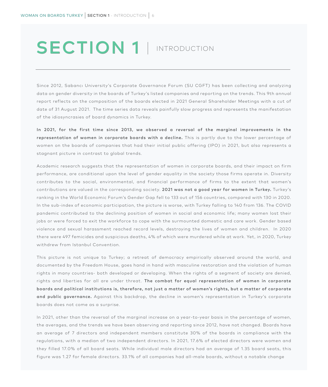# SECTION 1 | INTRODUCTION

Since 2012, Sabancı University's Corporate Governance Forum (SU CGFT) has been collecting and analyzing data on gender diversity in the boards of Turkey's listed companies and reporting on the trends. This 9th annual report reflects on the composition of the boards elected in 2021 General Shareholder Meetings with a cut of date of 31 August 2021. The time series data reveals painfully slow progress and represents the manifestation of the idiosyncrasies of board dynamics in Turkey.

In 2021, for the first time since 2013, we observed a reversal of the marginal improvements in the representation of women in corporate boards with a decline. This is partly due to the lower percentage of women on the boards of companies that had their initial public offering (IPO) in 2021, but also represents a stagnant picture in contrast to global trends.

Academic research suggests that the representation of women in corporate boards, and their impact on firm performance, are conditional upon the level of gender equality in the society those firms operate in. Diversity contributes to the social, environmental, and financial performance of firms to the extent that women's contributions are valued in the corresponding society. 2021 was not a good year for women in Turkey. Turkey's ranking in the World Economic Forum's Gender Gap fell to 133 out of 156 countries, compared with 130 in 2020. In the sub-index of economic participation, the picture is worse, with Turkey falling to 140 from 136. The COVID pandemic contributed to the declining position of women in social and economic life; many women lost their jobs or were forced to exit the workforce to cope with the surmounted domestic and care work. Gender based violence and sexual harassment reached record levels, destroying the lives of women and children. In 2020 there were 497 femicides and suspicious deaths, 4% of which were murdered while at work. Yet, in 2020, Turkey withdrew from Istanbul Convention.

This picture is not unique to Turkey; a retreat of democracy empirically observed around the world, and documented by the Freedom House, goes hand in hand with masculine restoration and the violation of human rights in many countries- both developed or developing. When the rights of a segment of society are denied, rights and liberties for all are under threat. The combat for equal representation of women in corporate boards and political institutions is, therefore, not just a matter of women's rights, but a matter of corporate and public governance. Against this backdrop, the decline in women's representation in Turkey's corporate boards does not come as a surprise.

In 2021, other than the reversal of the marginal increase on a year-to-year basis in the percentage of women, the averages, and the trends we have been observing and reporting since 2012, have not changed. Boards have an average of 7 directors and independent members constitute 30% of the boards in compliance with the regulations, with a median of two independent directors. In 2021, 17.6% of elected directors were women and they filled 17.0% of all board seats. While individual male directors had an average of 1.35 board seats, this figure was 1.27 for female directors. 33.1% of all companies had all-male boards, without a notable change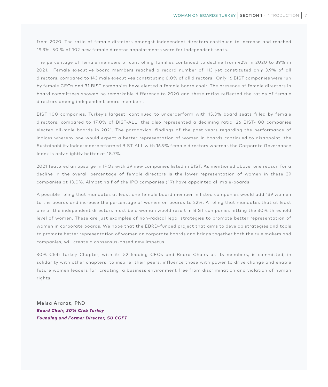from 2020. The ratio of female directors amongst independent directors continued to increase and reached 19.3%. 50 % of 102 new female director appointments were for independent seats.

The percentage of female members of controlling families continued to decline from 42% in 2020 to 39% in 2021. Female executive board members reached a record number of 113 yet constituted only 3.9% of all directors, compared to 143 male executives constituting 6.0% of all directors. Only 16 BIST companies were run by female CEOs and 31 BIST companies have elected a female board chair. The presence of female directors in board committees showed no remarkable difference to 2020 and these ratios reflected the ratios of female directors among independent board members.

BIST 100 companies, Turkey's largest, continued to underperform with 15.3% board seats filled by female directors, compared to 17.0% of BIST-ALL, this also represented a declining ratio. 26 BIST-100 companies elected all-male boards in 2021. The paradoxical findings of the past years regarding the performance of indices whereby one would expect a better representation of women in boards continued to disappoint; the Sustainability Index underperformed BIST-ALL with 16.9% female directors whereas the Corporate Governance Index is only slightly better at 18.7%.

2021 featured an upsurge in IPOs with 39 new companies listed in BIST. As mentioned above, one reason for a decline in the overall percentage of female directors is the lower representation of women in these 39 companies at 13.0%. Almost half of the IPO companies (19) have appointed all male-boards.

A possible ruling that mandates at least one female board member in listed companies would add 139 women to the boards and increase the percentage of women on boards to 22%. A ruling that mandates that at least one of the independent directors must be a woman would result in BIST companies hitting the 30% threshold level of women. These are just examples of non-radical legal strategies to promote better representation of women in corporate boards. We hope that the EBRD-funded project that aims to develop strategies and tools to promote better representation of women on corporate boards and brings together both the rule makers and companies, will create a consensus-based new impetus.

30% Club Turkey Chapter, with its 52 leading CEOs and Board Chairs as its members, is committed, in solidarity with other chapters, to inspire their peers, influence those with power to drive change and enable future women leaders for creating a business environment free from discrimination and violation of human rights.

Melsa Ararat, PhD *Board Chair, 30% Club Turkey Founding and Former Director, SU CGFT*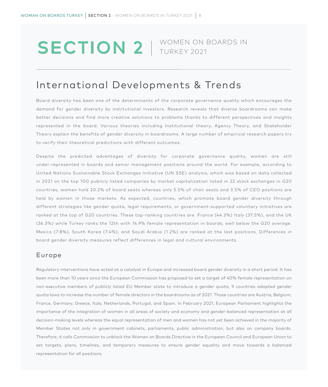# SECTION 2 | WOMEN ON BOARDS IN

# International Developments & Trends

Board diversity has been one of the determinants of the corporate governance quality which encourages the demand for gender diversity by institutional investors. Research reveals that diverse boardrooms can make better decisions and find more creative solutions to problems thanks to different perspectives and insights represented in the board. Various theories including Institutional theory, Agency Theory, and Stakeholder Theory explain the benefits of gender diversity in boardrooms. A large number of empirical research papers try to verify their theoretical predictions with different outcomes.

Despite the predicted advantages of diversity for corporate governance quality, women are still under-represented in boards and senior management positions around the world. For example, according to United Nations Sustainable Stock Exchanges Initiative (UN SSE) analysis, which was based on data collected in 2021 on the top 100 publicly listed companies by market capitalization listed in 22 stock exchanges in G20 countries, women hold 20.2% of board seats whereas only 5.5% of chair seats and 3.5% of CEO positions are held by women in those markets. As expected, countries, which promote board gender diversity through different strategies like gender quota, legal requirements, or government-supported voluntary initiatives are ranked at the top of G20 countries. These top-ranking countries are France (44.3%) Italy (37.5%), and the UK (36.3%) while Turkey ranks the 12th with 14.9% female representation in boards, well below the G20 average. Mexico (7.8%), South Korea (7.4%), and Saudi Arabia (1.2%) are ranked at the last positions. Differences in board gender diversity measures reflect differences in legal and cultural environments.

#### Europe

Regulatory interventions have acted as a catalyst in Europe and increased board gender diversity in a short period. It has been more than 10 years since the European Commission has proposed to set a target of 40% female representation on non-executive members of publicly listed EU Member state to introduce a gender quota, 9 countries adopted gender quota laws to increase the number of female directors in the boardrooms as of 2021. Those countries are Austria, Belgium, France, Germany, Greece, Italy, Netherlands, Portugal, and Spain. In February 2021, European Parliament highlights the importance of the integration of women in all areas of society and economy and gender-balanced representation at all decision-making levels whereas the equal representation of men and women has not yet been achieved in the majority of Member States not only in government cabinets, parliaments, public administration, but also on company boards. Therefore, it calls Commission to unblock the Women on Boards Directive in the European Council and European Union to set targets, plans, timelines, and temporary measures to ensure gender equality and move towards a balanced representation for all positions.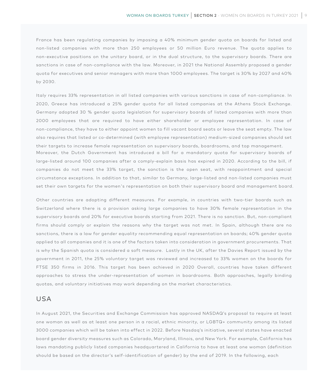France has been regulating companies by imposing a 40% minimum gender quota on boards for listed and non-listed companies with more than 250 employees or 50 million Euro revenue. The quota applies to non-executive positions on the unitary board, or in the dual structure, to the supervisory boards. There are sanctions in case of non-compliance with the law. Moreover, in 2021 the National Assembly proposed a gender quota for executives and senior managers with more than 1000 employees. The target is 30% by 2027 and 40% by 2030.

Italy requires 33% representation in all listed companies with various sanctions in case of non-compliance. In 2020, Greece has introduced a 25% gender quota for all listed companies at the Athens Stock Exchange. Germany adopted 30 % gender quota legislation for supervisory boards of listed companies with more than 2000 employees that are required to have either shareholder or employee representation. In case of non-compliance, they have to either appoint women to fill vacant board seats or leave the seat empty. The law also requires that listed or co-determined (with employee representation) medium-sized companies should set their targets to increase female representation on supervisory boards, boardrooms, and top management. Moreover, the Dutch Government has introduced a bill for a mandatory quota for supervisory boards of large-listed around 100 companies after a comply-explain basis has expired in 2020. According to the bill, if companies do not meet the 33% target, the sanction is the open seat, with reappointment and special circumstance exceptions. In addition to that, similar to Germany, large-listed and non-listed companies must

set their own targets for the women's representation on both their supervisory board and management board.

Other countries are adopting different measures. For example, in countries with two-tier boards such as Switzerland where there is a provision asking large companies to have 30% female representation in the supervisory boards and 20% for executive boards starting from 2021. There is no sanction. But, non-compliant firms should comply or explain the reasons why the target was not met. In Spain, although there are no sanctions, there is a law for gender equality recommending equal representation on boards; 40% gender quota applied to all companies and it is one of the factors taken into consideration in government procurements. That is why the Spanish quota is considered a soft measure. Lastly in the UK, after the Davies Report issued by the government in 2011, the 25% voluntary target was reviewed and increased to 33% women on the boards for FTSE 350 firms in 2016. This target has been achieved in 2020 Overall, countries have taken different approaches to stress the under-representation of women in boardrooms. Both approaches, legally binding quotas, and voluntary initiatives may work depending on the market characteristics.

#### USA

In August 2021, the Securities and Exchange Commission has approved NASDAQ's proposal to require at least one woman as well as at least one person in a racial, ethnic minority, or LGBTQ+ community among its listed 3000 companies which will be taken into effect in 2022. Before Nasdaq's initiative, several states have enacted board gender diversity measures such as Colorado, Maryland, Illinois, and New York. For example, California has laws mandating publicly listed companies headquartered in California to have at least one woman (definition should be based on the director's self-identification of gender) by the end of 2019. In the following, each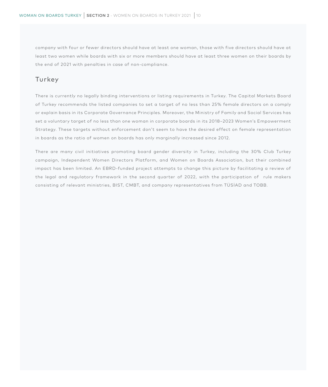company with four or fewer directors should have at least one woman, those with five directors should have at least two women while boards with six or more members should have at least three women on their boards by the end of 2021 with penalties in case of non-compliance.

## Turkey

There is currently no legally binding interventions or listing requirements in Turkey. The Capital Markets Board of Turkey recommends the listed companies to set a target of no less than 25% female directors on a comply or explain basis in its Corporate Governance Principles. Moreover, the Ministry of Family and Social Services has set a voluntary target of no less than one woman in corporate boards in its 2018–2023 Women's Empowerment Strategy. These targets without enforcement don't seem to have the desired effect on female representation in boards as the ratio of women on boards has only marginally increased since 2012.

There are many civil initiatives promoting board gender diversity in Turkey, including the 30% Club Turkey campaign, Independent Women Directors Platform, and Women on Boards Association, but their combined impact has been limited. An EBRD-funded project attempts to change this picture by facilitating a review of the legal and regulatory framework in the second quarter of 2022, with the participation of rule makers consisting of relevant ministries, BIST, CMBT, and company representatives from TÜSİAD and TOBB.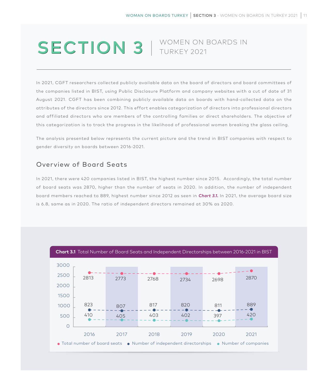# SECTION 3 | WOMEN ON BOARDS IN

In 2021, CGFT researchers collected publicly available data on the board of directors and board committees of the companies listed in BIST, using Public Disclosure Platform and company websites with a cut of date of 31 August 2021. CGFT has been combining publicly available data on boards with hand-collected data on the attributes of the directors since 2012. This effort enables categorization of directors into professional directors and affiliated directors who are members of the controlling families or direct shareholders. The objective of this categorization is to track the progress in the likelihood of professional women breaking the glass ceiling.

The analysis presented below represents the current picture and the trend in BIST companies with respect to gender diversity on boards between 2016-2021.

### Overview of Board Seats

In 2021, there were 420 companies listed in BIST, the highest number since 2015. Accordingly, the total number of board seats was 2870, higher than the number of seats in 2020. In addition, the number of independent board members reached to 889, highest number since 2012 as seen in *Chart 3.1.* In 2021, the average board size is 6.8, same as in 2020. The ratio of independent directors remained at 30% as 2020.

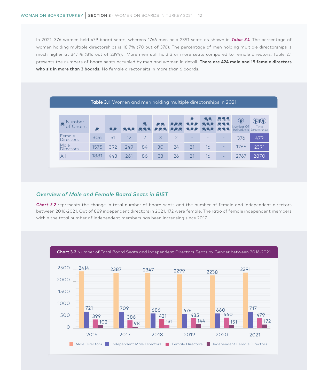In 2021, 376 women held 479 board seats, whereas 1766 men held 2391 seats as shown in *Table 3.1.* The percentage of women holding multiple directorships is 18.7% (70 out of 376). The percentage of men holding multiple directorships is much higher at 34.1% (816 out of 2394). More men still hold 3 or more seats compared to female directors, Table 2.1 presents the numbers of board seats occupied by men and women in detail. **There are 424 male and 19 female directors who sit in more than 3 boards.** No female director sits in more than 6 boards.

| <b>Table 3.1</b> Women and men holding multiple directorships in 2021 |      |        |             |                      |                        |                           |                                |                                        |                                 |                |                                    |  |  |
|-----------------------------------------------------------------------|------|--------|-------------|----------------------|------------------------|---------------------------|--------------------------------|----------------------------------------|---------------------------------|----------------|------------------------------------|--|--|
|                                                                       |      |        |             |                      |                        |                           |                                |                                        |                                 |                |                                    |  |  |
| Number<br>$\Box$<br>of Chairs                                         | n-h  | na ind | أهاآ داآنها | n-i<br>اها (اها (اها | h-M-i<br>اها ألحا ألحا | أصأأهنأها<br>(ا=ا ا=ا ا=ا | ri-h<br>أحشمشه<br>أهاآ اهاآنها | hail ai<br>أسأأنه أأنها<br>د المالية ا | h-M-M-N<br>in Marian<br>h-M-M-i | ₩<br>Number Of | Total<br>Individuals Directorships |  |  |
| Female<br><b>Directors</b>                                            | 306  | 51     | 12          | $\overline{2}$       | 3                      | $\overline{2}$            |                                |                                        |                                 | 376            | 479                                |  |  |
| Male<br><b>Directors</b>                                              | 1575 | 392    | 249         | 84                   | 30                     | 24                        | 21                             | 16                                     |                                 | 1766           | 2391                               |  |  |
| All                                                                   | 1881 | 443    | 261         | 86                   | 33                     | 26                        | 21                             | 16                                     |                                 | 2767           | 2870                               |  |  |

#### *Overview of Male and Female Board Seats in BIST*

*Chart 3.2* represents the change in total number of board seats and the number of female and independent directors between 2016-2021. Out of 889 independent directors in 2021, 172 were female. The ratio of female independent members within the total number of independent members has been increasing since 2017.

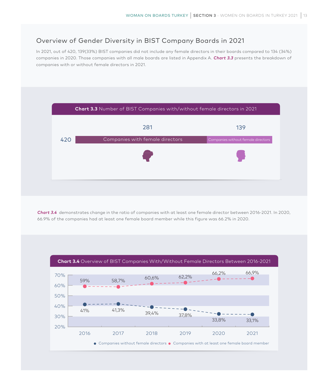## Overview of Gender Diversity in BIST Company Boards in 2021

In 2021, out of 420, 139(33%) BIST companies did not include any female directors in their boards compared to 134 (34%) companies in 2020. Those companies with all male boards are listed in Appendix A. *Chart 3.3* presents the breakdown of companies with or without female directors in 2021.



*Chart 3.4* demonstrates change in the ratio of companies with at least one female director between 2016-2021. In 2020, 66.9% of the companies had at least one female board member while this figure was 66.2% in 2020.

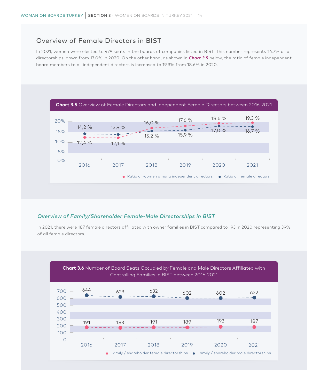### Overview of Female Directors in BIST

In 2021, women were elected to 479 seats in the boards of companies listed in BIST. This number represents 16.7% of all directorships, down from 17.0% in 2020. On the other hand, as shown in *Chart 3.5* below, the ratio of female independent board members to all independent directors is increased to 19.3% from 18.6% in 2020.



#### *Overview of Family/Shareholder Female-Male Directorships in BIST*

In 2021, there were 187 female directors affiliated with owner families in BIST compared to 193 in 2020 representing 39% of all female directors.

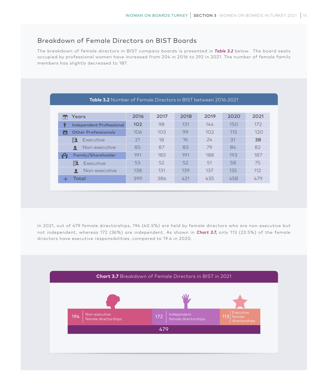## Breakdown of Female Directors on BIST Boards

The breakdown of female directors in BIST company boards is presented in *Table 3.2* below. The board seats occupied by professional women have increased from 204 in 2016 to 292 in 2021. The number of female family members has slightly decreased to 187.

|     | <b>Table 3.2</b> Number of Female Directors in BIST between 2016-2021 |      |      |      |      |      |      |  |  |  |  |  |  |  |
|-----|-----------------------------------------------------------------------|------|------|------|------|------|------|--|--|--|--|--|--|--|
|     |                                                                       |      |      |      |      |      |      |  |  |  |  |  |  |  |
| ÷   | Years                                                                 | 2016 | 2017 | 2018 | 2019 | 2020 | 2021 |  |  |  |  |  |  |  |
| ₩   | <b>Independent Professional</b>                                       | 102  | 98   | 131  | 144  | 150  | 172  |  |  |  |  |  |  |  |
| . . | <b>Other Professionals</b>                                            | 106  | 105  | 99   | 102  | 115  | 120  |  |  |  |  |  |  |  |
|     | Executive<br>慁                                                        | 21   | 18   | 16   | 24   | 31   | 38   |  |  |  |  |  |  |  |
|     | Non-executive                                                         | 85   | 87   | 83   | 79   | 84   | 82   |  |  |  |  |  |  |  |
| GQ) | Family/Shareholder                                                    | 191  | 183  | 191  | 188  | 193  | 187  |  |  |  |  |  |  |  |
|     | 陞<br>Executive                                                        | 53   | 52   | 52   | 51   | 58   | 75   |  |  |  |  |  |  |  |
|     | Non-executive                                                         | 138  | 131  | 139  | 137  | 135  | 112  |  |  |  |  |  |  |  |
|     | Total                                                                 | 399  | 386  | 421  | 435  | 458  | 479  |  |  |  |  |  |  |  |

In 2021, out of 479 female directorships, 194 (40.5%) are held by female directors who are non-executive but not independent, whereas 172 (36%) are independent. As shown in *Chart 3.7,* only 113 (23.5%) of the female directors have executive responsibilities, compared to 19.4 in 2020.

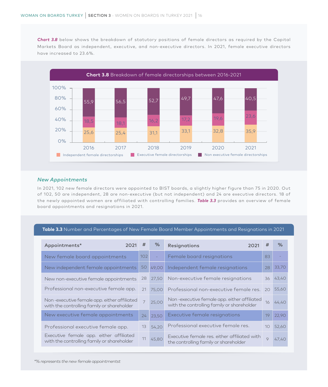*Chart 3.8* below shows the breakdown of statutory positions of female directors as required by the Capital Markets Board as independent, executive, and non-executive directors. In 2021, female executive directors have increased to 23.6%.



#### *New Appointments*

In 2021, 102 new female directors were appointed to BIST boards, a slightly higher figure than 75 in 2020. Out of 102, 50 are independent, 28 are non-executive (but not independent) and 24 are executive directors. 18 of the newly appointed women are affiliated with controlling families. *Table 3.3* provides an overview of female board appointments and resignations in 2021.

#### **Table 3.3** Number and Percentages of New Female Board Member Appointments and Resignations in 2021

| Appointments*<br>2021                                                                     | #                | %     | <b>Resignations</b><br>2021                                                               | #  | %     |
|-------------------------------------------------------------------------------------------|------------------|-------|-------------------------------------------------------------------------------------------|----|-------|
| New female board appointments                                                             | 102 <sub>1</sub> |       | Female board resignations                                                                 | 83 |       |
| New independent female appointments                                                       | 50               | 49,00 | Independent female resignations                                                           | 28 | 33,70 |
| New non-executive female appointments                                                     | 28               | 27,50 | Non-executive female resignations                                                         | 36 | 43,40 |
| Professional non-executive female app.                                                    | 21               | 75,00 | Professional non-executive female res. 20                                                 |    | 55,60 |
| Non-executive female app. either affiliated<br>with the controlling family or shareholder | $\overline{7}$   | 25,00 | Non-executive female app. either affiliated<br>with the controlling family or shareholder | 16 | 44,40 |
| New executive female appointments                                                         | 24               | 23,50 | Executive female resignations                                                             | 19 | 22,90 |
| Professional executive female app.                                                        | 13               | 54,20 | Professional executive female res.                                                        | 10 | 52,60 |
| Executive female app. either affiliated<br>with the controlling family or shareholder     | 11               | 45,80 | Executive female res. either affiliated with<br>the controlling family or shareholder     | 9  | 47,40 |

*\*% represents the new female appointmentst*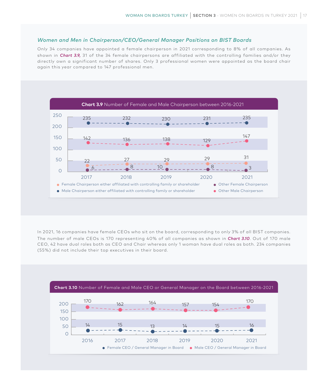#### *Women and Men in Chairperson/CEO/General Manager Positions on BIST Boards*

Only 34 companies have appointed a female chairperson in 2021 corresponding to 8% of all companies. As shown in *Chart 3.9,* 31 of the 34 female chairpersons are affiliated with the controlling families and/or they directly own a significant number of shares. Only 3 professional women were appointed as the board chair again this year compared to 147 professional men.



In 2021, 16 companies have female CEOs who sit on the board, corresponding to only 3% of all BIST companies. The number of male CEOs is 170 representing 40% of all companies as shown in *Chart 3.10*. Out of 170 male CEO, 42 have dual roles both as CEO and Chair whereas only 1 woman have dual roles as both. 234 companies (55%) did not include their top executives in their board.

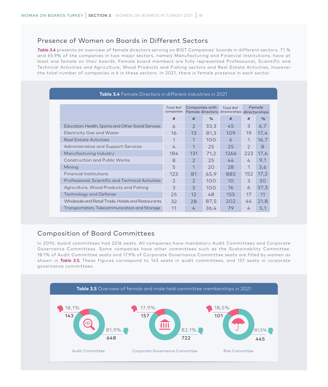### Presence of Women on Boards in Different Sectors

*Table 3.4* presents an overview of female directors serving on BIST Companies' boards in different sectors. 71.% and 65.9% of the companies in two major sectors, namely Manufacturing and Financial Institutions, have at least one female on their boards. Female board members are fully represented Professional, Scientific and Technical Activities and Agriculture, Wood Products and Fishing sectors and Real Estate Activities, however the total number of companies is 6 in these sectors. In 2021, there is female presence in each sector.

|                                                     | Total #of<br>companies | <b>Companies with</b><br>Total #of<br>Female directors directorships |               |                 | Female<br>directorships |      |  |  |  |  |  |
|-----------------------------------------------------|------------------------|----------------------------------------------------------------------|---------------|-----------------|-------------------------|------|--|--|--|--|--|
|                                                     | #                      | #                                                                    | $\frac{9}{6}$ | #               | #                       | %    |  |  |  |  |  |
| Education, Health, Sports and Other Social Services | $\sigma$               | 2                                                                    | 33,3          | 45              | 3                       | 6,7  |  |  |  |  |  |
| Electricity Gas and Water                           | 16                     | 13                                                                   | 81.3          | 109             | 19                      | 17,4 |  |  |  |  |  |
| Real Estate Activities                              | 1                      | 1                                                                    | 100           | 6               | 1                       | 16,7 |  |  |  |  |  |
| Administrative and Support Services                 | 4                      | $\mathbf 1$                                                          | 25            | 25              | $\overline{2}$          | 8    |  |  |  |  |  |
| Manufacturing Industry                              | 184                    | 131                                                                  | 71,2          | 1266            | 223                     | 17,6 |  |  |  |  |  |
| <b>Construction and Public Works</b>                | 8                      | $\mathcal{P}$                                                        | 25            | 44              | 4                       | 9,1  |  |  |  |  |  |
| Mining                                              | 5                      | $\mathbf 1$                                                          | 20            | 28              | 1                       | 3,6  |  |  |  |  |  |
| Financial Institutions                              | 123                    | 81                                                                   | 65.9          | 885             | 152                     | 17,2 |  |  |  |  |  |
| Professional, Scientific and Technical Activities   | $\mathcal{P}$          | $\mathcal{P}$                                                        | 100           | 10 <sup>°</sup> | 3                       | 30   |  |  |  |  |  |
| Agriculture, Wood Products and Fishing              | 3                      | 3                                                                    | 100           | 16              | 6                       | 37,5 |  |  |  |  |  |
| Technology and Defense                              | 25                     | $12 \overline{ }$                                                    | 48            | 155             | 17                      | 11   |  |  |  |  |  |
| Wholesale and Retail Trade, Hotels and Restaurants  | 32                     | 28                                                                   | 87,5          | 202             | 44                      | 21,8 |  |  |  |  |  |
| Transportation, Telecommunication and Storage       | 11                     | 4                                                                    | 36,4          | 79              | 4                       | 5,1  |  |  |  |  |  |

## Composition of Board Committees

In 2010, board committees had 2216 seats. All companies have mandatory Audit Committees and Corporate Governance Committees. Some companies have other committees such as the Sustainability Committee. 18.1% of Audit Committee seats and 17.9% of Corporate Governance Committee seats are filled by women as shown in *Table 3.5.* These figures correspond to 143 seats in audit committees, and 157 seats in corporate governance committees.

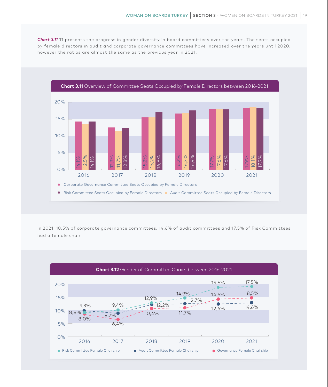*Chart 3.11* 11 presents the progress in gender diversity in board committees over the years. The seats occupied by female directors in audit and corporate governance committees have increased over the years until 2020, however the ratios are almost the same as the previous year in 2021.



In 2021, 18.5% of corporate governance committees, 14.6% of audit committees and 17.5% of Risk Committees had a female chair.

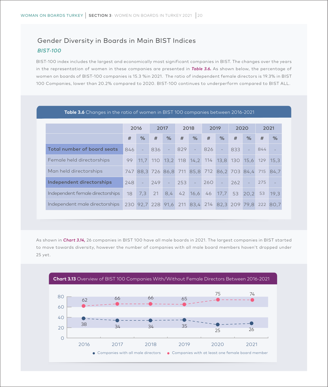# Gender Diversity in Boards in Main BIST Indices *BIST-100*

BIST-100 index includes the largest and economically most significant companies in BIST. The changes over the years in the representation of women in these companies are presented in *Table 3.6.* As shown below, the percentage of women on boards of BIST-100 companies is 15.3 %in 2021. The ratio of independent female directors is 19.3% in BIST 100 Companies, lower than 20.2% compared to 2020. BIST-100 continues to underperform compared to BIST ALL.

**Table 3.6** Changes in the ratio of women in BIST 100 companies between 2016-2021

| <b>TWAIS ONE</b> CHRITGED IN CITE TREID OF WONTERT IN DIST TOO COMPRIMED DECWECH ZO ID ZOZT |     |                          |     |          |     |                     |     |        |      |                                                       |      |                                     |
|---------------------------------------------------------------------------------------------|-----|--------------------------|-----|----------|-----|---------------------|-----|--------|------|-------------------------------------------------------|------|-------------------------------------|
|                                                                                             |     |                          |     |          |     |                     |     |        |      |                                                       |      |                                     |
|                                                                                             |     | 2016                     |     | 2017     |     | 2018                |     | 2019   | 2020 |                                                       | 2021 |                                     |
|                                                                                             | #   | %                        | #   | %        | #   | %                   | #   | %      | #    | %                                                     | #    | %                                   |
| <b>Total number of board seats</b>                                                          | 846 | $\overline{\phantom{a}}$ | 836 | $\equiv$ | 829 | $\sim$              | 826 | $\sim$ | 833  | $\equiv$                                              | 844  |                                     |
| Female held directorships                                                                   | 99  |                          |     |          |     |                     |     |        |      | 11,7 110 13,2 118 14,2 114 13,8 130 15,6 129 15,3     |      |                                     |
| Man held directorships                                                                      |     |                          |     |          |     |                     |     |        |      | 747 88.3 726 86.8 711 85.8 712 86.2 703 84.4 715 84.7 |      |                                     |
| Independent directorships                                                                   | 248 | $\omega_{\rm{max}}$      | 249 | $\sim$   | 253 | $\omega_{\rm{max}}$ | 260 | ÷      | 262  | $\equiv$                                              | 275  |                                     |
| Independent female directorships                                                            | 18  | 7,3                      | 21  | 8,4      | 42  | 16,6                | 46  | 17,7   |      | 53 20.2                                               | 53   | 19.3                                |
| Independent male directorships                                                              |     | 230 92,7 228 91,6        |     |          |     |                     |     |        |      |                                                       |      | 211 83,4 214 82,3 209 79,8 222 80,7 |

As shown in *Chart 3.14,* 26 companies in BIST 100 have all male boards in 2021. The largest companies in BIST started to move towards diversity, however the number of companies with all male board members haven't dropped under 25 yet.

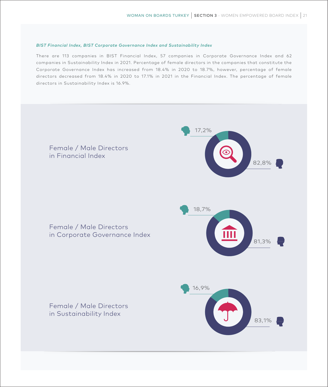#### *BIST Financial Index, BIST Corporate Governance Index and Sustainability Index*

There are 113 companies in BIST Financial Index, 57 companies in Corporate Governance Index and 62 companies in Sustainability Index in 2021. Percentage of female directors in the companies that constitute the Corporate Governance Index has increased from 18.4% in 2020 to 18.7%, however, percentage of female directors decreased from 18.4% in 2020 to 17.1% in 2021 in the Financial Index. The percentage of female directors in Sustainability Index is 16.9%.

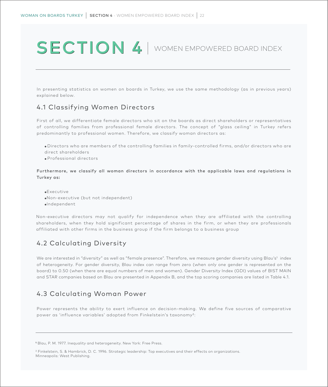# SECTION 4 WOMEN EMPOWERED BOARD INDEX

In presenting statistics on women on boards in Turkey, we use the same methodology (as in previous years) explained below.

## 4.1 Classifying Women Directors

First of all, we differentiate female directors who sit on the boards as direct shareholders or representatives of controlling families from professional female directors. The concept of "glass ceiling" in Turkey refers predominantly to professional women. Therefore, we classify woman directors as:

● Directors who are members of the controlling families in family-controlled firms, and/or directors who are direct shareholders

● Professional directors

Furthermore, we classify all woman directors in accordance with the applicable laws and regulations in Turkey as:

●Executive ●Non-executive (but not independent) ●Independent

Non-executive directors may not qualify for independence when they are affiliated with the controlling shareholders, when they hold significant percentage of shares in the firm, or when they are professionals affiliated with other firms in the business group if the firm belongs to a business group

## 4.2 Calculating Diversity

We are interested in "diversity" as well as "female presence". Therefore, we measure gender diversity using Blau's1 index of heterogeneity. For gender diversity, Blau index can range from zero (when only one gender is represented on the board) to 0.50 (when there are equal numbers of men and women). Gender Diversity Index (GDI) values of BIST MAIN and STAR companies based on Blau are presented in Appendix B, and the top scoring companies are listed in Table 4.1.

# 4.3 Calculating Woman Power

Power represents the ability to exert influence on decision-making. We define five sources of comparative power as 'influence variables' adopted from Finkelstein's taxonomy2:

2 Finkelstein, S. & Hambrick, D. C. 1996. Strategic leadership: Top executives and their effects on organizations. Minneapolis: West Publishing.

**<sup>1</sup>** Blau, P. M. 1977. Inequality and heterogeneity. New York: Free Press.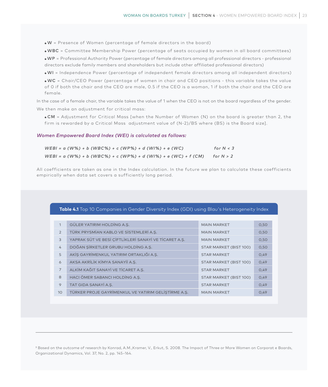● W = Presence of Women (percentage of female directors in the board)

● WBC = Committee Membership Power (percentage of seats occupied by women in all board committees)

● WP = Professional Authority Power (percentage of female directors among all professional directors - professional directors exclude family members and shareholders but include other affiliated professional directors)

● WI = Independence Power (percentage of independent female directors among all independent directors)

● WC = Chair/CEO Power (percentage of women in chair and CEO positions - this variable takes the value of 0 if both the chair and the CEO are male, 0.5 if the CEO is a woman, 1 if both the chair and the CEO are female.

In the case of a female chair, the variable takes the value of 1 when the CEO is not on the board regardless of the gender. We then make an adjustment for critical mass:

● CM = Adjustment for Critical Mass [when the Number of Women (N) on the board is greater than 2, the firm is rewarded by a Critical Mass adjustment value of (N-2)/BS where (BS) is the Board size].

#### *Women Empowered Board Index (WEI) is calculated as follows:*

| $WEBI = \alpha (W\%) + b (WBC\%) + c (WP\%) + d (WI\%) + e (WC)$          | for $N < 3$ |
|---------------------------------------------------------------------------|-------------|
| $WEBI = \alpha (W\%) + b (WBC\%) + c (WP\%) + d (WI\%) + e (WC) + f (CM)$ | for $N > 2$ |

All coefficients are taken as one in the Index calculation. In the future we plan to calculate these coefficients empirically when data set covers a sufficiently long period.

#### **Table 4.1** Top 10 Companies in Gender Diversity Index (GDI) using Blau's Heterogeneity Index

| $\mathbf{1}$    | GÜLER YATIRIM HOLDING A.S.                            | <b>MAIN MARKET</b>     | 0,50 |
|-----------------|-------------------------------------------------------|------------------------|------|
| $\overline{2}$  | TÜRK PRYSMİAN KABLO VE SİSTEMLERİ A.Ş.                | <b>MAIN MARKET</b>     | 0,50 |
| 3               | YAPRAK SÜT VE BESİ ÇİFTLİKLERİ SANAYİ VE TİCARET A.Ş. | <b>MAIN MARKET</b>     | 0,50 |
| 4               | DOĞAN ŞİRKETLER GRUBU HOLDİNG A.Ş.                    | STAR MARKET (BIST 100) | 0,50 |
| 5               | AKİŞ GAYRİMENKUL YATIRIM ORTAKLIĞI A.Ş.               | <b>STAR MARKET</b>     | 0,49 |
| 6               | AKSA AKRİLİK KİMYA SANAYİİ A.Ş.                       | STAR MARKET (BIST 100) | 0,49 |
| $\overline{7}$  | ALKİM KAĞIT SANAYİ VE TİCARET A.Ş.                    | <b>STAR MARKET</b>     | 0,49 |
| 8               | HACI ÖMER SABANCI HOLDING A.Ş.                        | STAR MARKET (BIST 100) | 0,49 |
| 9               | TAT GIDA SANAYİ A.Ş.                                  | <b>STAR MARKET</b>     | 0,49 |
| 10 <sup>°</sup> | TÜRKER PROJE GAYRİMENKUL VE YATIRIM GELİŞTİRME A.Ş.   | <b>MAIN MARKET</b>     | 0.49 |

<sup>3</sup> Based on the outcome of research by Konrad, A.M.,Kramer, V., Erkut, S. 2008. The Impact of Three or More Women on Corporat e Boards, Organizational Dynamics, Vol. 37, No. 2, pp. 145–164.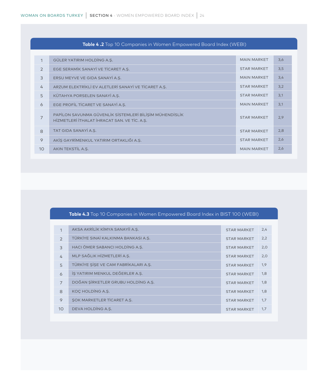| $\mathbf{1}$   | GÜLER YATIRIM HOLDING A.S.                                                                              | <b>MAIN MARKET</b> | 3,6 |
|----------------|---------------------------------------------------------------------------------------------------------|--------------------|-----|
| $\overline{2}$ | EGE SERAMIK SANAYİ VE TİCARET A.Ş.                                                                      | <b>STAR MARKET</b> | 3,5 |
| 3              | ERSU MEYVE VE GIDA SANAYİ A.Ş.                                                                          | <b>MAIN MARKET</b> | 3,4 |
| 4              | ARZUM ELEKTRİKLİ EV ALETLERİ SANAYİ VE TİCARET A.Ş.                                                     | <b>STAR MARKET</b> | 3,2 |
| 5              | KÜTAHYA PORSELEN SANAYİ A.Ş.                                                                            | <b>STAR MARKET</b> | 3,1 |
| 6              | EGE PROFİL TİCARET VE SANAYİ A.Ş.                                                                       | <b>MAIN MARKET</b> | 3,1 |
| 7              | PAPİLON SAVUNMA GÜVENLİK SİSTEMLERİ BİLİŞİM MÜHENDİSLİK<br>HİZMETLERİ İTHALAT İHRACAT SAN. VE TİC. A.Ş. | <b>STAR MARKET</b> | 2,9 |
| 8              | TAT GIDA SANAYİ A.Ş.                                                                                    | <b>STAR MARKET</b> | 2,8 |
| 9              | AKİŞ GAYRİMENKUL YATIRIM ORTAKLIĞI A.Ş.                                                                 | <b>STAR MARKET</b> | 2,6 |
| 10             | AKIN TEKSTİL A.S.                                                                                       | <b>MAIN MARKET</b> | 2,6 |

#### **Table 4 .2** Top 10 Companies in Women Empowered Board Index (WEBI)

#### **Table 4.3** Top 10 Companies in Women Empowered Board Index in BIST 100 (WEBI)

| 1              | AKSA AKRİLİK KİMYA SANAYİİ A.Ş.      | <b>STAR MARKET</b> | 2,4 |
|----------------|--------------------------------------|--------------------|-----|
| $\mathcal{P}$  | TÜRKİYE SINAİ KALKINMA BANKASI A.Ş.  | <b>STAR MARKET</b> | 2,2 |
| 3              | HACI ÖMER SABANCI HOLDİNG A.Ş.       | <b>STAR MARKET</b> | 2,0 |
| 4              | MLP SAĞLIK HİZMETLERİ A.Ş.           | <b>STAR MARKET</b> | 2,0 |
| 5              | TÜRKİYE ŞİŞE VE CAM FABRİKALARI A.Ş. | <b>STAR MARKET</b> | 1,9 |
| 6              | İŞ YATIRIM MENKUL DEĞERLER A.Ş.      | <b>STAR MARKET</b> | 1,8 |
| $\overline{7}$ | DOĞAN SİRKETLER GRUBU HOLDİNG A.S.   | <b>STAR MARKET</b> | 1,8 |
| 8              | KOC HOLDING A.S.                     | <b>STAR MARKET</b> | 1,8 |
| 9              | SOK MARKETLER TİCARET A.S.           | <b>STAR MARKET</b> | 1,7 |
| 10             | DEVA HOLDING A.S.                    | <b>STAR MARKET</b> | 1,7 |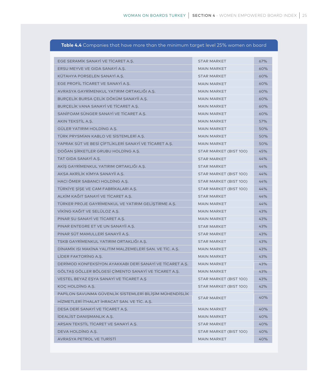#### **Table 4.4** Companies that have more than the minimum target level 25% women on board

| EGE SERAMIK SANAYI VE TICARET A.S.                       | <b>STAR MARKET</b>     | 67% |
|----------------------------------------------------------|------------------------|-----|
| ERSU MEYVE VE GIDA SANAYİ A.Ş.                           | <b>MAIN MARKET</b>     | 60% |
| KÜTAHYA PORSELEN SANAYİ A.Ş.                             | <b>STAR MARKET</b>     | 60% |
| EGE PROFIL TICARET VE SANAYI A.S.                        | <b>MAIN MARKET</b>     | 60% |
| AVRASYA GAYRİMENKUL YATIRIM ORTAKLIĞI A.Ş.               | <b>MAIN MARKET</b>     | 60% |
| BURÇELİK BURSA ÇELİK DÖKÜM SANAYİİ A.Ş.                  | <b>MAIN MARKET</b>     | 60% |
| BURCELIK VANA SANAYI VE TICARET A.S.                     | <b>MAIN MARKET</b>     | 60% |
| SANİFOAM SÜNGER SANAYİ VE TİCARET A.Ş.                   | <b>MAIN MARKET</b>     | 60% |
| AKIN TEKSTIL A.S.                                        | <b>MAIN MARKET</b>     | 57% |
| GÜLER YATIRIM HOLDING A.S.                               | <b>MAIN MARKET</b>     | 50% |
| TÜRK PRYSMİAN KABLO VE SİSTEMLERİ A.Ş.                   | <b>MAIN MARKET</b>     | 50% |
| YAPRAK SÜT VE BESİ ÇİFTLİKLERİ SANAYİ VE TİCARET A.Ş.    | <b>MAIN MARKET</b>     | 50% |
| DOĞAN ŞİRKETLER GRUBU HOLDİNG A.Ş.                       | STAR MARKET (BIST 100) | 45% |
| TAT GIDA SANAYİ A.S.                                     | <b>STAR MARKET</b>     | 44% |
| AKİŞ GAYRİMENKUL YATIRIM ORTAKLIĞI A.Ş.                  | <b>STAR MARKET</b>     | 44% |
| AKSA AKRİLİK KİMYA SANAYİİ A.Ş.                          | STAR MARKET (BIST 100) | 44% |
| HACI ÖMER SABANCI HOLDING A.Ş.                           | STAR MARKET (BIST 100) | 44% |
| TÜRKİYE ŞİŞE VE CAM FABRİKALARI A.Ş.                     | STAR MARKET (BIST 100) | 44% |
| ALKİM KAĞIT SANAYİ VE TİCARET A.S.                       | <b>STAR MARKET</b>     | 44% |
| TÜRKER PROJE GAYRİMENKUL VE YATIRIM GELİŞTİRME A.Ş.      | <b>MAIN MARKET</b>     | 44% |
| VİKİNG KAĞIT VE SELÜLOZ A.Ş.                             | <b>MAIN MARKET</b>     | 43% |
| PINAR SU SANAYI VE TICARET A.S.                          | <b>MAIN MARKET</b>     | 43% |
| PINAR ENTEGRE ET VE UN SANAYII A.Ş.                      | <b>STAR MARKET</b>     | 43% |
| PINAR SÜT MAMULLERİ SANAYİİ A.Ş.                         | <b>STAR MARKET</b>     | 43% |
| TSKB GAYRİMENKUL YATIRIM ORTAKLIĞI A.Ş.                  | <b>STAR MARKET</b>     | 43% |
| DINAMIK ISI MAKINA YALITIM MALZEMELERI SAN. VE TIC. A.S. | <b>MAIN MARKET</b>     | 43% |
| LIDER FAKTORING A.S.                                     | <b>MAIN MARKET</b>     | 43% |
| DERİMOD KONFEKSİYON AYAKKABI DERİ SANAYİ VE TİCARET A.S. | <b>MAIN MARKET</b>     | 43% |
| GÖLTAŞ GÖLLER BÖLGESİ ÇİMENTO SANAYİ VE TİCARET A.Ş.     | <b>MAIN MARKET</b>     | 43% |
| VESTEL BEYAZ EŞYA SANAYİ VE TİCARET A.Ş                  | STAR MARKET (BIST 100) | 43% |
| KOÇ HOLDİNG A.Ş.                                         | STAR MARKET (BIST 100) | 42% |
| PAPİLON SAVUNMA GÜVENLİK SİSTEMLERİ BİLİŞİM MÜHENDİSLİK  |                        | 40% |
| HİZMETLERİ İTHALAT İHRACAT SAN. VE TİC. A.Ş.             | <b>STAR MARKET</b>     |     |
| DESA DERİ SANAYİ VE TİCARET A.Ş.                         | <b>MAIN MARKET</b>     | 40% |
| İDEALİST DANIŞMANLIK A.Ş.                                | <b>MAIN MARKET</b>     | 40% |
| ARSAN TEKSTIL TICARET VE SANAYI A.Ş.                     | <b>STAR MARKET</b>     | 40% |
| DEVA HOLDING A.S.                                        | STAR MARKET (BIST 100) | 40% |
| <b>AVRASYA PETROL VE TURISTI</b>                         | <b>MAIN MARKET</b>     | 40% |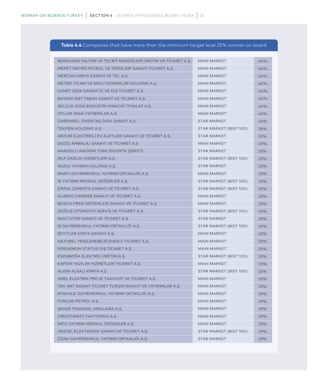#### **Table 4.4** Companies that have more than the minimum target level 25% women on board

| BERKOSAN YALITIM VE TECRİT MADDELERİ ÜRETİM VE TİCARET A.Ş. | <b>MAIN MARKET</b>     | 40% |
|-------------------------------------------------------------|------------------------|-----|
| MEPET METRO PETROL VE TESISLERI SANAYI TICARET A.Ş.         | <b>MAIN MARKET</b>     | 40% |
| MERCAN KİMYA SANAYİ VE TİC. A.Ş.                            | <b>MAIN MARKET</b>     | 40% |
| METRO TICARI VE MALI YATIRIMLAR HOLDING A.S.                | <b>MAIN MARKET</b>     | 40% |
| VANET GIDA SANAYI IC VE DIS TICARET A.S.                    | <b>MAIN MARKET</b>     | 40% |
| BAYRAK EBT TABAN SANAYİ VE TİCARET A.Ş.                     | <b>MAIN MARKET</b>     | 40% |
| SELÇUK GIDA ENDÜSTRİ İHRACAT İTHALAT A.Ş.                   | <b>MAIN MARKET</b>     | 40% |
| OYLUM SINAİ YATIRIMLAR A.Ş.                                 | <b>MAIN MARKET</b>     | 40% |
| DARDANEL ÖNENTAS GIDA SANAYİ A.Ş.                           | <b>STAR MARKET</b>     | 40% |
| TEKFEN HOLDING A.S.                                         | STAR MARKET (BIST 100) | 36% |
| ARZUM ELEKTRİKLİ EV ALETLERİ SANAYİ VE TİCARET A.Ş.         | <b>STAR MARKET</b>     | 33% |
| GEDIZ AMBALAJ SANAYI VE TICARET A.S.                        | <b>MAIN MARKET</b>     | 33% |
| ANADOLU ANONİM TÜRK SİGORTA ŞİRKETİ                         | <b>STAR MARKET</b>     | 33% |
| MLP SAĞLIK HİZMETLERİ A.S.                                  | STAR MARKET (BIST 100) | 33% |
| INVEO YATIRIM HOLDING A.S.                                  | <b>STAR MARKET</b>     | 33% |
| MARTI GAYRİMENKUL YATIRIM ORTAKLIĞI A.Ş.                    | <b>MAIN MARKET</b>     | 33% |
| IS YATIRIM MENKUL DEGERLER A.Ş.                             | STAR MARKET (BIST 100) | 33% |
| ÇİMSA ÇİMENTO SANAYİ VE TİCARET A.Ş.                        | STAR MARKET (BIST 100) | 33% |
| ALARKO CARRIER SANAYI VE TICARET A.S.                       | <b>MAIN MARKET</b>     | 33% |
| BOSCH FREN SISTEMLERI SANAYI VE TICARET A.S.                | <b>MAIN MARKET</b>     | 33% |
| DOĞUŞ OTOMOTİV SERVİS VE TİCARET A.Ş.                       | STAR MARKET (BIST 100) | 33% |
| MAVI GIYIM SANAYI VE TICARET A.S.                           | <b>STAR MARKET</b>     | 33% |
| İŞ GAYRİMENKUL YATIRIM ORTAKLIĞI A.Ş.                       | STAR MARKET (BIST 100) | 33% |
| SEYİTLER KİMYA SANAYİ A.Ş.                                  | <b>MAIN MARKET</b>     | 33% |
| NATUREL YENİLENEBİLİR ENERJİ TİCARET A.Ş.                   | <b>MAIN MARKET</b>     | 33% |
| PERGAMON STATUS DIŞ TİCARET A.Ş.                            | <b>MAIN MARKET</b>     | 33% |
| ESENBOĞA ELEKTRİK ÜRETİM A.Ş.                               | STAR MARKET (BIST 100) | 33% |
| KAFEİN YAZILIM HİZMETLERİ TİCARET A.Ş.                      | <b>MAIN MARKET</b>     | 33% |
| ALKİM ALKALİ KİMYA A.Ş.                                     | STAR MARKET (BIST 100) | 33% |
| ANEL ELEKTRİK PROJE TAAHHÜT VE TİCARET A.S.                 | <b>MAIN MARKET</b>     | 33% |
| TEK-ART İNŞAAT TİCARET TURİZM SANAYİ VE YATIRIMLAR A.Ş.     | <b>MAIN MARKET</b>     | 33% |
| ATAKULE GAYRİMENKUL YATIRIM ORTAKLIĞI A.Ş.                  | <b>MAIN MARKET</b>     | 29% |
| TURCAS PETROL A.Ş.                                          | <b>MAIN MARKET</b>     | 29% |
| ŞEKER FİNANSAL KİRALAMA A.Ş.                                | <b>MAIN MARKET</b>     | 29% |
| <b>CREDITWEST FAKTORING A.S</b>                             | <b>MAIN MARKET</b>     | 29% |
| İNFO YATIRIM MENKUL DEĞERLER A.Ş                            | <b>MAIN MARKET</b>     | 29% |
| VESTEL ELEKTRONİK SANAYİ VE TİCARET A.Ş.                    | STAR MARKET (BIST 100) | 29% |
| ÖZAK GAYRİMENKUL YATIRIM ORTAKLIĞI A.Ş.                     | <b>STAR MARKET</b>     | 29% |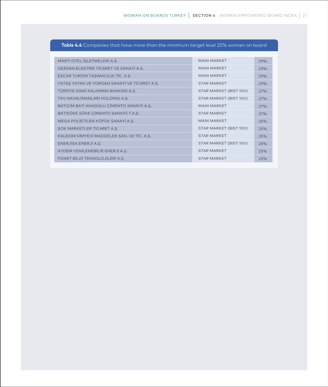|  |  |  |  | <b>Table 4.4</b> Companies that have more than the minimum taraet level 25% women on board |  |  |  |
|--|--|--|--|--------------------------------------------------------------------------------------------|--|--|--|
|--|--|--|--|--------------------------------------------------------------------------------------------|--|--|--|

| MARTI OTEL İŞLETMELERİ A.Ş.                  | <b>MAIN MARKET</b>     | 29% |
|----------------------------------------------|------------------------|-----|
| GERSAN ELEKTRİK TİCARET VE SANAYİ A.Ş.       | <b>MAIN MARKET</b>     | 29% |
| ESCAR TURİZM TAŞIMACILIK TİC. A.Ş.           | <b>MAIN MARKET</b>     | 29% |
| YATAS YATAK VE YORGAN SANAYİ VE TİCARET A.Ş. | <b>STAR MARKET</b>     | 29% |
| TÜRKİYE SINAİ KALKINMA BANKASI A.Ş.          | STAR MARKET (BIST 100) | 27% |
| TAV HAVALİMANLARI HOLDİNG A.Ş.               | STAR MARKET (BIST 100) | 27% |
| BATICIM BATI ANADOLU CIMENTO SANAYII A.S.    | <b>MAIN MARKET</b>     | 27% |
| BATISÖKE SÖKE CİMENTO SANAYİİ T.A.Ş.         | <b>STAR MARKET</b>     | 27% |
| MEGA POLİETİLEN KÖPÜK SANAYİ A.Ş.            | <b>MAIN MARKET</b>     | 25% |
| <b>SOK MARKETLER TİCARET A.S.</b>            | STAR MARKET (BIST 100) | 25% |
| KALEKIM KIMYEVI MADDELER SAN. VE TİC. A.Ş.   | <b>STAR MARKET</b>     | 25% |
| ENERJİSA ENERJİ A.Ş.                         | STAR MARKET (BIST 100) | 25% |
| AYDEM YENİLENEBİLİR ENERJİ A.Ş.              | <b>STAR MARKET</b>     | 25% |
| FONET BİLGİ TEKNOLOJİLERİ A.Ş.               | <b>STAR MARKET</b>     | 25% |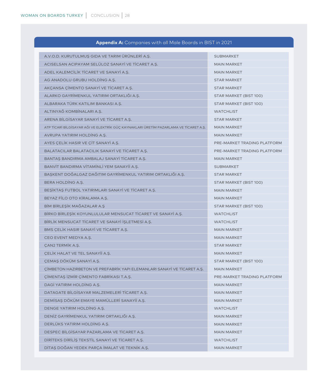#### **Appendix A:** Companies with all Male Boards in BIST in 2021

| A.V.O.D. KURUTULMUS GIDA VE TARIM ÜRÜNLERİ A.Ş.                                       | <b>SUBMARKET</b>            |
|---------------------------------------------------------------------------------------|-----------------------------|
| ACISELSAN ACIPAYAM SELÜLOZ SANAYİ VE TİCARET A.Ş.                                     | <b>MAIN MARKET</b>          |
| ADEL KALEMCİLİK TİCARET VE SANAYİ A.Ş.                                                | <b>MAIN MARKET</b>          |
| AG ANADOLU GRUBU HOLDING A.Ş.                                                         | <b>STAR MARKET</b>          |
| AKÇANSA ÇİMENTO SANAYİ VE TİCARET A.Ş.                                                | <b>STAR MARKET</b>          |
| ALARKO GAYRİMENKUL YATIRIM ORTAKLIĞI A.Ş.                                             | STAR MARKET (BIST 100)      |
| ALBARAKA TÜRK KATILIM BANKASI A.Ş.                                                    | STAR MARKET (BIST 100)      |
| ALTINYAĞ KOMBİNALARI A.Ş.                                                             | <b>WATCHLIST</b>            |
| ARENA BİLGİSAYAR SANAYİ VE TİCARET A.Ş.                                               | <b>STAR MARKET</b>          |
| ATP TİCARİ BİLGİSAYAR AĞI VE ELEKTRİK GÜÇ KAYNAKLARI ÜRETİM PAZARLAMA VE TİCARET A.Ş. | <b>MAIN MARKET</b>          |
| AVRUPA YATIRIM HOLDING A.Ş.                                                           | <b>MAIN MARKET</b>          |
| AYES ÇELİK HASIR VE ÇİT SANAYİ A.Ş.                                                   | PRE-MARKET TRADING PLATFORM |
| BALATACILAR BALATACILIK SANAYİ VE TİCARET A.Ş.                                        | PRE-MARKET TRADING PLATFORM |
| BANTAS BANDIRMA AMBALAJ SANAYI TICARET A.S.                                           | <b>MAIN MARKET</b>          |
| BANVİT BANDIRMA VİTAMİNLİ YEM SANAYİİ A.Ş.                                            | <b>SUBMARKET</b>            |
| BAŞKENT DOĞALGAZ DAĞITIM GAYRİMENKUL YATIRIM ORTAKLIĞI A.Ş.                           | <b>STAR MARKET</b>          |
| <b>BERA HOLDING A.S.</b>                                                              | STAR MARKET (BIST 100)      |
| BEŞİKTAŞ FUTBOL YATIRIMLARI SANAYİ VE TİCARET A.Ş.                                    | <b>MAIN MARKET</b>          |
| BEYAZ FİLO OTO KİRALAMA A.Ş.                                                          | <b>MAIN MARKET</b>          |
| BİM BİRLEŞİK MAĞAZALAR A.Ş                                                            | STAR MARKET (BIST 100)      |
| BİRKO BİRLEŞİK KOYUNLULULAR MENSUCAT TİCARET VE SANAYİ A.Ş.                           | <b>WATCHLIST</b>            |
| BİRLİK MENSUCAT TİCARET VE SANAYİ İŞLETMESİ A.Ş.                                      | <b>WATCHLIST</b>            |
| BMS CELIK HASIR SANAYI VE TICARET A.S.                                                | <b>MAIN MARKET</b>          |
| CEO EVENT MEDYA A.S.                                                                  | <b>MAIN MARKET</b>          |
| ÇAN2 TERMİK A.Ş.                                                                      | <b>STAR MARKET</b>          |
| ÇELİK HALAT VE TEL SANAYİİ A.Ş.                                                       | <b>MAIN MARKET</b>          |
| CEMAS DÖKÜM SANAYİ A.Ş.                                                               | STAR MARKET (BIST 100)      |
| CİMBETON HAZIRBETON VE PREFABRİK YAPI ELEMANLARI SANAYİ VE TİCARET A.S.               | <b>MAIN MARKET</b>          |
| ÇİMENTAŞ İZMİR ÇİMENTO FABRİKASI T.A.Ş.                                               | PRE-MARKET TRADING PLATFORM |
| DAGİ YATIRIM HOLDİNG A.S.                                                             | <b>MAIN MARKET</b>          |
| DATAGATE BİLGİSAYAR MALZEMELERİ TİCARET A.Ş.                                          | <b>MAIN MARKET</b>          |
| DEMİSAŞ DÖKÜM EMAYE MAMÜLLERİ SANAYİİ A.Ş.                                            | <b>MAIN MARKET</b>          |
| DENGE YATIRIM HOLDING A.Ş.                                                            | <b>WATCHLIST</b>            |
| DENİZ GAYRİMENKUL YATIRIM ORTAKLIĞI A.Ş.                                              | <b>MAIN MARKET</b>          |
| DERLÜKS YATIRIM HOLDİNG A.Ş.                                                          | <b>MAIN MARKET</b>          |
| DESPEC BİLGİSAYAR PAZARLAMA VE TİCARET A.Ş.                                           | <b>MAIN MARKET</b>          |
| DIRITEKS DIRILIS TEKSTIL SANAYI VE TICARET A.S.                                       | <b>WATCHLIST</b>            |
| DİTAŞ DOĞAN YEDEK PARÇA İMALAT VE TEKNİK A.Ş.                                         | <b>MAIN MARKET</b>          |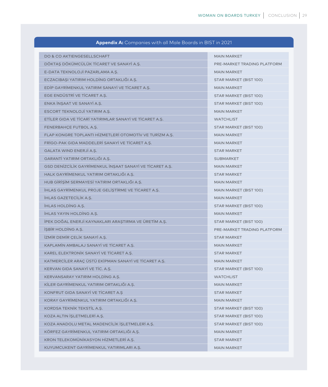#### **Appendix A:** Companies with all Male Boards in BIST in 2021

| <b>DO &amp; CO AKTIENGESELLSCHAFT</b>                    | <b>MAIN MARKET</b>          |
|----------------------------------------------------------|-----------------------------|
| DÖKTAŞ DÖKÜMCÜLÜK TİCARET VE SANAYİ A.Ş.                 | PRE-MARKET TRADING PLATFORM |
| E-DATA TEKNOLOJİ PAZARLAMA A.Ş.                          | <b>MAIN MARKET</b>          |
| ECZACIBAŞI YATIRIM HOLDİNG ORTAKLIĞI A.Ş.                | STAR MARKET (BIST 100)      |
| EDİP GAYRİMENKUL YATIRIM SANAYİ VE TİCARET A.Ş.          | <b>MAIN MARKET</b>          |
| EGE ENDÜSTRİ VE TİCARET A.Ş.                             | STAR MARKET (BIST 100)      |
| ENKA İNŞAAT VE SANAYİ A.Ş.                               | STAR MARKET (BIST 100)      |
| ESCORT TEKNOLOJİ YATIRIM A.Ş.                            | <b>MAIN MARKET</b>          |
| ETİLER GIDA VE TİCARİ YATIRIMLAR SANAYİ VE TİCARET A.Ş.  | <b>WATCHLIST</b>            |
| FENERBAHÇE FUTBOL A.Ş.                                   | STAR MARKET (BIST 100)      |
| FLAP KONGRE TOPLANTI HİZMETLERİ OTOMOTİV VE TURİZM A.S.  | <b>MAIN MARKET</b>          |
| FRIGO-PAK GIDA MADDELERI SANAYI VE TICARET A.S.          | <b>MAIN MARKET</b>          |
| GALATA WIND ENERJI A.Ş.                                  | <b>STAR MARKET</b>          |
| GARANTİ YATIRIM ORTAKLIĞI A.S.                           | <b>SUBMARKET</b>            |
| GSD DENİZCİLİK GAYRİMENKUL İNŞAAT SANAYİ VE TİCARET A.Ş. | <b>MAIN MARKET</b>          |
| HALK GAYRİMENKUL YATIRIM ORTAKLIĞI A.Ş.                  | <b>STAR MARKET</b>          |
| HUB GİRİŞİM SERMAYESİ YATIRIM ORTAKLIĞI A.Ş.             | <b>MAIN MARKET</b>          |
| İHLAS GAYRİMENKUL PROJE GELİŞTİRME VE TİCARET A.Ş.       | MAIN MARKET (BIST 100)      |
| <b>IHLAS GAZETECILIK A.S.</b>                            | <b>MAIN MARKET</b>          |
| <b>IHLAS HOLDING A.S.</b>                                | STAR MARKET (BIST 100)      |
| IHLAS YAYIN HOLDING A.Ş.                                 | <b>MAIN MARKET</b>          |
| İPEK DOĞAL ENERJİ KAYNAKLARI ARAŞTIRMA VE ÜRETİM A.Ş.    | STAR MARKET (BIST 100)      |
| ISBIR HOLDING A.S.                                       | PRE-MARKET TRADING PLATFORM |
| İZMİR DEMİR ÇELİK SANAYİ A.Ş.                            | <b>STAR MARKET</b>          |
| KAPLAMIN AMBALAJ SANAYI VE TICARET A.S.                  | <b>MAIN MARKET</b>          |
| KAREL ELEKTRONIK SANAYI VE TICARET A.S.                  | <b>STAR MARKET</b>          |
| KATMERCİLER ARAÇ ÜSTÜ EKİPMAN SANAYİ VE TİCARET A.Ş.     | <b>MAIN MARKET</b>          |
| KERVAN GIDA SANAYİ VE TİC. A.Ş.                          | STAR MARKET (BIST 100)      |
| KERVANSARAY YATIRIM HOLDING A.Ş.                         | <b>WATCHLIST</b>            |
| KİLER GAYRİMENKUL YATIRIM ORTAKLIĞI A.Ş.                 | <b>MAIN MARKET</b>          |
| KONFRUT GIDA SANAYİ VE TİCARET A.Ş                       | <b>STAR MARKET</b>          |
| KORAY GAYRİMENKUL YATIRIM ORTAKLIĞI A.S.                 | <b>MAIN MARKET</b>          |
| KORDSA TEKNIK TEKSTIL A.Ş.                               | STAR MARKET (BIST 100)      |
| KOZA ALTIN İSLETMELERİ A.Ş.                              | STAR MARKET (BIST 100)      |
| KOZA ANADOLU METAL MADENCİLİK İŞLETMELERİ A.Ş.           | STAR MARKET (BIST 100)      |
| KÖRFEZ GAYRİMENKUL YATIRIM ORTAKLIĞI A.Ş.                | <b>MAIN MARKET</b>          |
| KRON TELEKOMÜNİKASYON HİZMETLERİ A.Ş.                    | <b>STAR MARKET</b>          |
| KUYUMCUKENT GAYRİMENKUL YATIRIMLARI A.Ş.                 | <b>MAIN MARKET</b>          |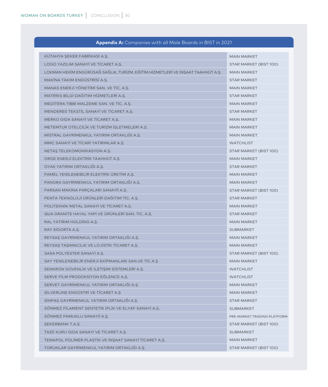|  |  |  |  | <b>Appendix A:</b> Companies with all Male Boards in BIST in 2021 |  |  |  |
|--|--|--|--|-------------------------------------------------------------------|--|--|--|
|--|--|--|--|-------------------------------------------------------------------|--|--|--|

| KÜTAHYA ŞEKER FABRİKASI A.Ş.                                                    | <b>MAIN MARKET</b>          |
|---------------------------------------------------------------------------------|-----------------------------|
| LOGO YAZILIM SANAYİ VE TİCARET A.Ş.                                             | STAR MARKET (BIST 100)      |
| LOKMAN HEKİM ENGÜRÜSAĞ SAĞLIK, TURİZM, EĞİTİM HİZMETLERİ VE İNŞAAT TAAHHÜT A.Ş. | <b>MAIN MARKET</b>          |
| MAKİNA TAKIM ENDÜSTRİSİ A.Ş.                                                    | <b>STAR MARKET</b>          |
| MANAS ENERJİ YÖNETİMİ SAN. VE TİC. A.S.                                         | <b>MAIN MARKET</b>          |
| MATRIKS BİLGİ DAĞITIM HİZMETLERİ A.Ş.                                           | <b>STAR MARKET</b>          |
| MEDITERA TIBBI MALZEME SAN. VE TIC. A.S.                                        | <b>MAIN MARKET</b>          |
| MENDERES TEKSTIL SANAYI VE TICARET A.S.                                         | <b>STAR MARKET</b>          |
| MERKO GIDA SANAYİ VE TİCARET A.S.                                               | <b>MAIN MARKET</b>          |
| METEMTUR OTELCILIK VE TURIZM IŞLETMELERI A.Ş.                                   | <b>MAIN MARKET</b>          |
| MİSTRAL GAYRİMENKUL YATIRIM ORTAKLIĞI A.Ş.                                      | <b>MAIN MARKET</b>          |
| MMC SANAYI VE TICARI YATIRIMLAR A.S.                                            | <b>WATCHLIST</b>            |
| NETAŞ TELEKOMÜNİKASYON A.Ş.                                                     | STAR MARKET (BIST 100)      |
| ORGE ENERJİ ELEKTRİK TAAHHÜT A.S.                                               | <b>MAIN MARKET</b>          |
| OYAK YATIRIM ORTAKLIĞI A.Ş.                                                     | <b>STAR MARKET</b>          |
| PAMEL YENİLENEBİLİR ELEKTRİK ÜRETİM A.S.                                        | <b>MAIN MARKET</b>          |
| PANORA GAYRIMENKUL YATIRIM ORTAKLIĞI A.Ş.                                       | <b>MAIN MARKET</b>          |
| PARSAN MAKINA PARÇALARI SANAYII A.Ş.                                            | STAR MARKET (BIST 100)      |
| PENTA TEKNOLOJİ ÜRÜNLERİ DAĞITIM TİC. A.Ş.                                      | <b>STAR MARKET</b>          |
| POLITEKNIK METAL SANAYI VE TICARET A.S.                                         | <b>MAIN MARKET</b>          |
| QUA GRANITE HAYAL YAPI VE ÜRÜNLERİ SAN. TİC. A.Ş.                               | <b>STAR MARKET</b>          |
| RAL YATIRIM HOLDING A.Ş.                                                        | <b>MAIN MARKET</b>          |
| RAY SIGORTA A.Ş.                                                                | <b>SUBMARKET</b>            |
| REYSAŞ GAYRİMENKUL YATIRIM ORTAKLIĞI A.Ş.                                       | <b>MAIN MARKET</b>          |
| REYSAŞ TAŞIMACILIK VE LOJİSTİK TİCARET A.Ş.                                     | <b>MAIN MARKET</b>          |
| SASA POLYESTER SANAYI A.Ş.                                                      | STAR MARKET (BIST 100)      |
| SAY YENİLENEBİLİR ENERJİ EKİPMANLARI SAN.VE TİC.A.Ş                             | <b>MAIN MARKET</b>          |
| SENKRON GÜVENLIK VE İLETIŞIM SISTEMLERI A.Ş.                                    | <b>WATCHLIST</b>            |
| SERVE FİLM PRODÜKSİYON EĞLENCE A.Ş.                                             | <b>WATCHLIST</b>            |
| SERVET GAYRİMENKUL YATIRIM ORTAKLIĞI A.Ş.                                       | <b>MAIN MARKET</b>          |
| SİLVERLİNE ENDÜSTRİ VE TİCARET A.Ş                                              | <b>MAIN MARKET</b>          |
| SİNPAŞ GAYRİMENKUL YATIRIM ORTAKLIĞI A.Ş.                                       | <b>STAR MARKET</b>          |
| SÖNMEZ FİLAMENT SENTETİK İPLİK VE ELYAF SANAYİ A.Ş.                             | <b>SUBMARKET</b>            |
| SÖNMEZ PAMUKLU SANAYİİ A.Ş.                                                     | PRE-MARKET TRADING PLATFORM |
| <b>SEKERBANK T.A.S.</b>                                                         | STAR MARKET (BIST 100)      |
| TAZE KURU GIDA SANAYİ VE TİCARET A.Ş.                                           | <b>SUBMARKET</b>            |
| TEMAPOL POLİMER PLASTİK VE İNŞAAT SANAYİ TİCARET A.Ş.                           | <b>MAIN MARKET</b>          |
| TORUNLAR GAYRİMENKUL YATIRIM ORTAKLIĞI A.Ş.                                     | STAR MARKET (BIST 100)      |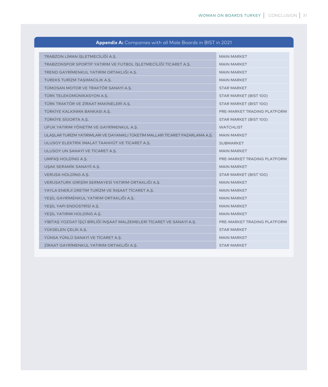| TRABZON LİMAN İŞLETMECİLİĞİ A.Ş.                                               | <b>MAIN MARKET</b>          |
|--------------------------------------------------------------------------------|-----------------------------|
| TRABZONSPOR SPORTIF YATIRIM VE FUTBOL İSLETMECILIĞI TICARET A.S.               | <b>MAIN MARKET</b>          |
| TREND GAYRİMENKUL YATIRIM ORTAKLIĞI A.Ş.                                       | <b>MAIN MARKET</b>          |
| TUREKS TURİZM TAŞIMACILIK A.Ş.                                                 | <b>MAIN MARKET</b>          |
| TÜMOSAN MOTOR VE TRAKTÖR SANAYİ A.S.                                           | <b>STAR MARKET</b>          |
| TÜRK TELEKOMÜNİKASYON A.Ş.                                                     | STAR MARKET (BIST 100)      |
| TÜRK TRAKTÖR VE ZİRAAT MAKİNELERİ A.Ş.                                         | STAR MARKET (BIST 100)      |
| TÜRKİYE KALKINMA BANKASI A.Ş.                                                  | PRE-MARKET TRADING PLATFORM |
| TÜRKİYE SİGORTA A.Ş.                                                           | STAR MARKET (BIST 100)      |
| UFUK YATIRIM YÖNETİM VE GAYRİMENKUL A.Ş.                                       | <b>WATCHLIST</b>            |
| ULASLAR TURİZM YATIRIMLARI VE DAYANIKLI TÜKETİM MALLARI TİCARET PAZARLAMA A.S. | <b>MAIN MARKET</b>          |
| ULUSOY ELEKTRİK İMALAT TAAHHÜT VE TİCARET A.S.                                 | <b>SUBMARKET</b>            |
| ULUSOY UN SANAYİ VE TİCARET A.Ş.                                               | <b>MAIN MARKET</b>          |
| UMPAS HOLDING A.S.                                                             | PRE-MARKET TRADING PLATFORM |
| USAK SERAMİK SANAYİİ A.Ş.                                                      | <b>MAIN MARKET</b>          |
| <b>VERUSA HOLDING A.S.</b>                                                     | STAR MARKET (BIST 100)      |
| VERUSATURK GİRİŞİM SERMAYESİ YATIRIM ORTAKLIĞI A.Ş.                            | <b>MAIN MARKET</b>          |
| YAYLA ENERJİ ÜRETİM TURİZM VE İNŞAAT TİCARET A.Ş.                              | <b>MAIN MARKET</b>          |
| YEŞİL GAYRİMENKUL YATIRIM ORTAKLIĞI A.Ş.                                       | <b>MAIN MARKET</b>          |
| YEŞİL YAPI ENDÜSTRİSİ A.Ş.                                                     | <b>MAIN MARKET</b>          |
| YESİL YATIRIM HOLDİNG A.Ş.                                                     | <b>MAIN MARKET</b>          |
| YİBİTAŞ YOZGAT İŞÇİ BİRLİĞİ İNŞAAT MALZEMELERİ TİCARET VE SANAYİ A.Ş.          | PRE-MARKET TRADING PLATFORM |
| YÜKSELEN ÇELİK A.Ş.                                                            | <b>STAR MARKET</b>          |
| YÜNSA YÜNLÜ SANAYİ VE TİCARET A.Ş.                                             | <b>MAIN MARKET</b>          |
| ZİRAAT GAYRİMENKUL YATIRIM ORTAKLIĞI A.Ş.                                      | <b>STAR MARKET</b>          |
|                                                                                |                             |

#### **Appendix A:** Companies with all Male Boards in BIST in 2021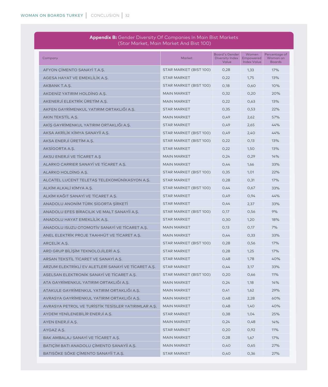#### **Appendix B:** Gender Diversity Of Companies In Main Bist Markets (Star Market, Main Market And Bist 100)

| Company                                             | Market                 | <b>Board's Gender</b><br>Diversity Index<br>Value | Women<br>Empowered<br><b>Index Value</b> | Percentage of<br>Woman on<br><b>Boards</b> |
|-----------------------------------------------------|------------------------|---------------------------------------------------|------------------------------------------|--------------------------------------------|
| AFYON ÇİMENTO SANAYİ T.A.Ş.                         | STAR MARKET (BIST 100) | 0,28                                              | 1,33                                     | 17%                                        |
| AGESA HAYAT VE EMEKLİLİK A.Ş.                       | <b>STAR MARKET</b>     | 0,22                                              | 1,75                                     | 13%                                        |
| AKBANK T.A.S.                                       | STAR MARKET (BIST 100) | 0,18                                              | 0,60                                     | 10%                                        |
| AKDENIZ YATIRIM HOLDING A.S.                        | <b>MAIN MARKET</b>     | 0,32                                              | 0,20                                     | 20%                                        |
| AKENERJİ ELEKTRİK ÜRETİM A.Ş.                       | <b>MAIN MARKET</b>     | 0,22                                              | 0,63                                     | 13%                                        |
| AKFEN GAYRİMENKUL YATIRIM ORTAKLIĞI A.Ş.            | <b>STAR MARKET</b>     | 0,35                                              | 0,53                                     | 22%                                        |
| AKIN TEKSTIL A.S.                                   | <b>MAIN MARKET</b>     | 0,49                                              | 2,62                                     | 57%                                        |
| AKİŞ GAYRİMENKUL YATIRIM ORTAKLIĞI A.Ş.             | <b>STAR MARKET</b>     | 0,49                                              | 2,65                                     | 44%                                        |
| AKSA AKRİLİK KİMYA SANAYİİ A.Ş.                     | STAR MARKET (BIST 100) | 0,49                                              | 2,40                                     | 44%                                        |
| AKSA ENERJİ ÜRETİM A.S.                             | STAR MARKET (BIST 100) | 0,22                                              | 0,13                                     | 13%                                        |
| AKSIGORTA A.S.                                      | <b>STAR MARKET</b>     | 0,22                                              | 1,50                                     | 13%                                        |
| AKSU ENERJI VE TICARET A.S                          | <b>MAIN MARKET</b>     | 0,24                                              | 0,29                                     | 14%                                        |
| ALARKO CARRIER SANAYI VE TICARET A.S.               | <b>MAIN MARKET</b>     | 0,44                                              | 1,66                                     | 33%                                        |
| ALARKO HOLDING A.S.                                 | STAR MARKET (BIST 100) | 0,35                                              | 1,01                                     | 22%                                        |
| ALCATEL LUCENT TELETAȘ TELEKOMÜNİKASYON A.Ş.        | <b>STAR MARKET</b>     | 0,28                                              | 0,31                                     | 17%                                        |
| ALKİM ALKALİ KİMYA A.S.                             | STAR MARKET (BIST 100) | 0,44                                              | 0,67                                     | 33%                                        |
| ALKİM KAĞIT SANAYİ VE TİCARET A.S.                  | <b>STAR MARKET</b>     | 0,49                                              | 0,94                                     | 44%                                        |
| ANADOLU ANONİM TÜRK SİGORTA ŞİRKETİ                 | <b>STAR MARKET</b>     | 0,44                                              | 2,37                                     | 33%                                        |
| ANADOLU EFES BİRACILIK VE MALT SANAYİİ A.Ş.         | STAR MARKET (BIST 100) | O,17                                              | 0,56                                     | 9%                                         |
| ANADOLU HAYAT EMEKLİLİK A.Ş.                        | <b>STAR MARKET</b>     | 0,30                                              | 1,20                                     | 18%                                        |
| ANADOLU ISUZU OTOMOTİV SANAYİ VE TİCARET A.S.       | <b>MAIN MARKET</b>     | 0,13                                              | 0,17                                     | 7%                                         |
| ANEL ELEKTRİK PROJE TAAHHÜT VE TİCARET A.Ş.         | <b>MAIN MARKET</b>     | 0,44                                              | 0,33                                     | 33%                                        |
| ARCELIK A.S.                                        | STAR MARKET (BIST 100) | 0,28                                              | 0,56                                     | 17%                                        |
| ARD GRUP BİLİŞİM TEKNOLOJİLERİ A.Ş.                 | <b>STAR MARKET</b>     | 0,28                                              | 1,25                                     | 17%                                        |
| ARSAN TEKSTIL TICARET VE SANAYI A.S.                | <b>STAR MARKET</b>     | 0,48                                              | 1,78                                     | 40%                                        |
| ARZUM ELEKTRİKLİ EV ALETLERİ SANAYİ VE TİCARET A.Ş. | <b>STAR MARKET</b>     | 0,44                                              | 3,17                                     | 33%                                        |
| ASELSAN ELEKTRONİK SANAYİ VE TİCARET A.S.           | STAR MARKET (BIST 100) | 0,20                                              | 0,66                                     | 11%                                        |
| ATA GAYRİMENKUL YATIRIM ORTAKLIĞI A.Ş.              | <b>MAIN MARKET</b>     | 0,24                                              | 1,18                                     | 14%                                        |
| ATAKULE GAYRİMENKUL YATIRIM ORTAKLIĞI A.Ş.          | <b>MAIN MARKET</b>     | 0,41                                              | 1,62                                     | 29%                                        |
| AVRASYA GAYRİMENKUL YATIRIM ORTAKLIĞI A.Ş.          | <b>MAIN MARKET</b>     | 0,48                                              | 2,28                                     | 60%                                        |
| AVRASYA PETROL VE TURISTIK TESISLER YATIRIMLAR A.S. | <b>MAIN MARKET</b>     | 0,48                                              | 1,40                                     | 40%                                        |
| AYDEM YENİLENEBİLİR ENERJİ A.Ş.                     | <b>STAR MARKET</b>     | 0,38                                              | 1,04                                     | 25%                                        |
| AYEN ENERJİ A.Ş.                                    | <b>MAIN MARKET</b>     | O,24                                              | 0,48                                     | 14%                                        |
| AYGAZ A.Ş.                                          | <b>STAR MARKET</b>     | 0,20                                              | 0,92                                     | 11%                                        |
| BAK AMBALAJ SANAYİ VE TİCARET A.Ş.                  | <b>MAIN MARKET</b>     | 0,28                                              | 1,67                                     | 17%                                        |
| BATIÇİM BATI ANADOLU ÇİMENTO SANAYİİ A.Ş.           | <b>MAIN MARKET</b>     | 0,40                                              | 0,65                                     | 27%                                        |
| BATISÖKE SÖKE ÇİMENTO SANAYİİ T.A.Ş.                | <b>STAR MARKET</b>     | 0,40                                              | 0,36                                     | 27%                                        |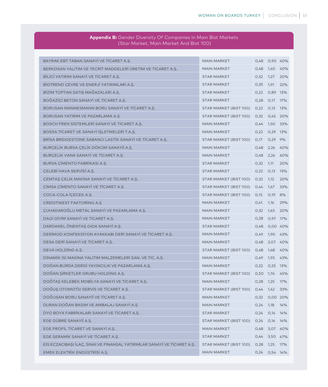| <b>Reflectionly Or Companies in main Disc mances</b><br>(Star Market, Main Market And Bist 100) |                                      |      |               |     |  |
|-------------------------------------------------------------------------------------------------|--------------------------------------|------|---------------|-----|--|
|                                                                                                 |                                      |      |               |     |  |
| BAYRAK EBT TABAN SANAYİ VE TİCARET A.Ş.                                                         | <b>MAIN MARKET</b>                   | 0,48 | 0,90 40%      |     |  |
| BERKOSAN YALITIM VE TECRİT MADDELERİ ÜRETİM VE TİCARET A.Ş.                                     | <b>MAIN MARKET</b>                   |      | 0,48 1,40 40% |     |  |
| BILICI YATIRIM SANAYI VE TICARET A.S.                                                           | <b>STAR MARKET</b>                   | 0,32 | 1,27          | 20% |  |
| BİOTREND ÇEVRE VE ENERJİ YATIRIMLARI A.Ş.                                                       | <b>STAR MARKET</b>                   | 0,35 | 1,91          | 22% |  |
| BİZİM TOPTAN SATIŞ MAĞAZALARI A.Ş.                                                              | <b>STAR MARKET</b>                   | 0,22 | 0,89 13%      |     |  |
| BOĞAZİÇİ BETON SANAYİ VE TİCARET A.Ş.                                                           | <b>STAR MARKET</b>                   | 0,28 | 0,17 17%      |     |  |
| BORUSAN MANNESMANN BORU SANAYİ VE TİCARET A.Ş.                                                  | STAR MARKET (BIST 100)               | 0,22 | 0,13 13%      |     |  |
| BORUSAN YATIRIM VE PAZARLAMA A.Ş.                                                               | STAR MARKET (BIST 100)               | 0,32 | 0,45 20%      |     |  |
| BOSCH FREN SISTEMLERI SANAYI VE TICARET A.S.                                                    | <b>MAIN MARKET</b>                   | 0,44 | 1,50 33%      |     |  |
| BOSSA TİCARET VE SANAYİ İŞLETMELERİ T.A.Ş.                                                      | <b>MAIN MARKET</b>                   | 0,22 | 0,29 13%      |     |  |
| BRISA BRIDGESTONE SABANCI LASTIK SANAYI VE TICARET A.Ş.                                         | STAR MARKET (BIST 100)               | O,17 | 0,29 9%       |     |  |
| BURÇELİK BURSA ÇELİK DÖKÜM SANAYİİ A.Ş.                                                         | <b>MAIN MARKET</b>                   | 0,48 | 2,26          | 60% |  |
| BURCELIK VANA SANAYİ VE TİCARET A.Ş.                                                            | <b>MAIN MARKET</b>                   | 0,48 | 2,26          | 60% |  |
| BURSA CIMENTO FABRIKASI A.S.                                                                    | <b>STAR MARKET</b>                   | 0,32 | 1,11          | 20% |  |
| ÇELEBİ HAVA SERVİSİ A.Ş.                                                                        | <b>STAR MARKET</b>                   | 0,22 | O,13          | 13% |  |
| ÇEMTAŞ ÇELİK MAKİNA SANAYİ VE TİCARET A.Ş.                                                      | STAR MARKET (BIST 100)               | 0,32 | 1,12          | 20% |  |
| ÇİMSA ÇİMENTO SANAYİ VE TİCARET A.Ş.                                                            | STAR MARKET (BIST 100)               | 0,44 | 1,67          | 33% |  |
| COCA-COLA İÇECEK A.Ş.                                                                           | STAR MARKET (BIST 100)               | 0,15 | 0,19          | 8%  |  |
| <b>CREDITWEST FAKTORING A.S</b>                                                                 | <b>MAIN MARKET</b>                   | 0,41 | 1,16          | 29% |  |
| CUHADAROĞLU METAL SANAYİ VE PAZARLAMA A.Ş.                                                      | <b>MAIN MARKET</b>                   | 0,32 | 1,63          | 20% |  |
| DAGI GIYIM SANAYI VE TICARET A.S.                                                               | <b>MAIN MARKET</b>                   | 0,28 | 0,97 17%      |     |  |
| DARDANEL ÖNENTAŞ GIDA SANAYİ A.Ş.                                                               | <b>STAR MARKET</b>                   | 0,48 | 0,00 40%      |     |  |
| DERİMOD KONFEKSİYON AYAKKABI DERİ SANAYİ VE TİCARET A.Ş.                                        | <b>MAIN MARKET</b>                   | 0,49 | 1,90 43%      |     |  |
| DESA DERI SANAYI VE TICARET A.Ş.                                                                | <b>MAIN MARKET</b>                   | 0,48 | 2,07 40%      |     |  |
| DEVA HOLDING A.S.                                                                               | STAR MARKET (BIST 100)               | 0,48 | 1,68 40%      |     |  |
| DINAMIK ISI MAKINA YALITIM MALZEMELERI SAN. VE TIC. A.Ş.                                        | <b>MAIN MARKET</b>                   | 0,49 | 1,93          | 43% |  |
| DOĞAN BURDA DERGİ YAYINCILIK VE PAZARLAMA A.Ş.                                                  | <b>MAIN MARKET</b>                   | 0,22 | 0,25 13%      |     |  |
| DOĞAN ŞİRKETLER GRUBU HOLDİNG A.Ş.                                                              | STAR MARKET (BIST 100) 0,50 1,76 45% |      |               |     |  |
| DOĞTAŞ KELEBEK MOBİLYA SANAYİ VE TİCARET A.Ş.                                                   | <b>MAIN MARKET</b>                   | 0,28 | 1,25          | 17% |  |
| DOĞUŞ OTOMOTİV SERVİS VE TİCARET A.Ş.                                                           | STAR MARKET (BIST 100)               | 0,44 | 1,42          | 33% |  |
| DOĞUSAN BORU SANAYİİ VE TİCARET A.Ş.                                                            | <b>MAIN MARKET</b>                   | 0,32 | 0,00 20%      |     |  |
| DURAN DOĞAN BASIM VE AMBALAJ SANAYİ A.Ş                                                         | <b>MAIN MARKET</b>                   | 0,24 | 1,18          | 14% |  |
| DYO BOYA FABRİKALARI SANAYİ VE TİCARET A.Ş.                                                     | <b>STAR MARKET</b>                   | 0,24 | 0,14 14%      |     |  |
| EGE GÜBRE SANAYİİ A.Ş.                                                                          | STAR MARKET (BIST 100)               | 0,24 | 0,14 14%      |     |  |
| EGE PROFİL TİCARET VE SANAYİ A.Ş.                                                               | <b>MAIN MARKET</b>                   | 0,48 | 3,07 60%      |     |  |
| EGE SERAMIK SANAYI VE TICARET A.Ş.                                                              | <b>STAR MARKET</b>                   | 0,44 | 3,50 67%      |     |  |
| EİS ECZACIBAŞI İLAÇ, SINAİ VE FİNANSAL YATIRIMLAR SANAYİ VE TİCARET A.Ş.                        | STAR MARKET (BIST 100)               | 0,28 | 1,25          | 17% |  |
| EMEK ELEKTRİK ENDÜSTRİSİ A.Ş.                                                                   | <b>MAIN MARKET</b>                   | 0,24 | 0,54 14%      |     |  |

# **Appendix B:** Gender Diversity Of Companies In Main Bist Market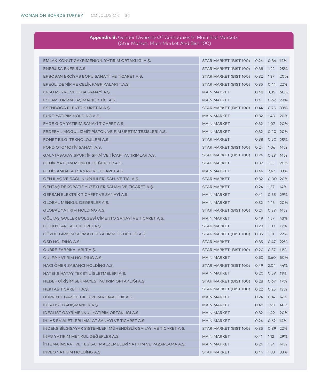| <b>Appendix B:</b> Gender Diversity Of Companies In Main Bist Markets |  |
|-----------------------------------------------------------------------|--|
| I (Star Market, Main Market And Bist 100)                             |  |

| EMLAK KONUT GAYRİMENKUL YATIRIM ORTAKLIĞI A.Ş.                  | STAR MARKET (BIST 100)      | 0,24 | 0,84 14%        |          |
|-----------------------------------------------------------------|-----------------------------|------|-----------------|----------|
| ENERJISA ENERJI A.S.                                            | STAR MARKET (BIST 100)      | 0,38 | 1,22            | 25%      |
| ERBOSAN ERCÍYAS BORU SANAYIİ VE TİCARET A.Ş.                    | STAR MARKET (BIST 100)      | 0,32 | 1,37            | 20%      |
| EREĞLİ DEMİR VE CELİK FABRİKALARI T.A.S.                        | STAR MARKET (BIST 100)      | 0,35 | 0,44 22%        |          |
| ERSU MEYVE VE GIDA SANAYİ A.Ş.                                  | <b>MAIN MARKET</b>          | 0,48 |                 | 3,35 60% |
| ESCAR TURIZM TAŞIMACILIK TİC. A.Ş.                              | <b>MAIN MARKET</b>          | 0,41 | 0,62 29%        |          |
| ESENBOĞA ELEKTRİK ÜRETİM A.Ş.                                   | STAR MARKET (BIST 100)      | 0,44 | 0,75 33%        |          |
| EURO YATIRIM HOLDING A.S.                                       | <b>MAIN MARKET</b>          | 0,32 | 1,40 20%        |          |
| FADE GIDA YATIRIM SANAYİ TİCARET A.Ş.                           | <b>MAIN MARKET</b>          | 0,32 | 1,07 20%        |          |
| FEDERAL-MOGUL IZMIT PISTON VE PIM ÜRETIM TESISLERI A.S.         | <b>MAIN MARKET</b>          | 0,32 |                 | 0,40 20% |
| FONET BİLGİ TEKNOLOJİLERİ A.Ş.                                  | <b>STAR MARKET</b>          | 0,38 | 0,50 25%        |          |
| FORD OTOMOTIV SANAYI A.S.                                       | STAR MARKET (BIST 100)      | 0,24 | 1,06 14%        |          |
| GALATASARAY SPORTIF SINAI VE TICARI YATIRIMLAR A.S.             | STAR MARKET (BIST 100)      | 0,24 | 0,29 14%        |          |
| GEDİK YATIRIM MENKUL DEĞERLER A.Ş.                              | <b>STAR MARKET</b>          | 0,32 | 1,33 20%        |          |
| GEDIZ AMBALAJ SANAYI VE TICARET A.S.                            | <b>MAIN MARKET</b>          | 0,44 | 2,42 33%        |          |
| GEN İLAC VE SAĞLIK ÜRÜNLERİ SAN. VE TİC. A.S.                   | <b>STAR MARKET</b>          | 0,32 |                 | 0,00 20% |
| GENTAŞ DEKORATİF YÜZEYLER SANAYİ VE TİCARET A.Ş.                | <b>STAR MARKET</b>          | 0,24 | 1,37            | 14%      |
| GERSAN ELEKTRIK TICARET VE SANAYI A.S.                          | <b>MAIN MARKET</b>          | 0,41 | 0,65 29%        |          |
| GLOBAL MENKUL DEĞERLER A.Ş.                                     | <b>MAIN MARKET</b>          | 0,32 | 1,46 20%        |          |
| GLOBAL YATIRIM HOLDING A.S.                                     | STAR MARKET (BIST 100)      | 0,24 | 0,39 14%        |          |
| GÖLTAŞ GÖLLER BÖLGESİ ÇİMENTO SANAYİ VE TİCARET A.Ş.            | <b>MAIN MARKET</b>          | 0,49 | 1,57 43%        |          |
| GOODYEAR LASTIKLERI T.A.S.                                      | <b>STAR MARKET</b>          | 0,28 | 1,03 17%        |          |
| GÖZDE GİRİŞİM SERMAYESİ YATIRIM ORTAKLIĞI A.Ş.                  | STAR MARKET (BIST 100)      | 0,35 | 1,51            | 22%      |
| GSD HOLDING A.S.                                                | <b>STAR MARKET</b>          | 0,35 | 0,47 22%        |          |
| GÜBRE FABRİKALARI T.A.Ş.                                        | STAR MARKET (BIST 100)      | O,2O | 0,37 11%        |          |
| GÜLER YATIRIM HOLDING A.S.                                      | <b>MAIN MARKET</b>          | 0,50 | 3,60 50%        |          |
| HACI ÖMER SABANCI HOLDING A.S.                                  | STAR MARKET (BIST 100)      | 0,49 | 2,04 44%        |          |
| HATEKS HATAY TEKSTİL İSLETMELERİ A.S.                           | <b>MAIN MARKET</b>          | 0,20 | 0,59 11%        |          |
| HEDEF GİRİŞİM SERMAYESİ YATIRIM ORTAKLIĞI A.Ş.                  | STAR MARKET (BIST 100)      | 0,28 | 0,67 17%        |          |
| HEKTAŞ TİCARET T.A.Ş.                                           | STAR MARKET (BIST 100) 0,22 |      | 0,25 13%        |          |
| HÜRRİYET GAZETECİLİK VE MATBAACILIK A.Ş.                        | <b>MAIN MARKET</b>          |      | $0,24$ 0,14 14% |          |
| İDEALİST DANIŞMANLIK A.Ş.                                       | <b>MAIN MARKET</b>          | 0,48 |                 | 1,90 40% |
| İDEALİST GAYRİMENKUL YATIRIM ORTAKLIĞI A.S.                     | <b>MAIN MARKET</b>          | 0,32 | 1,49            | 20%      |
| <b>İHLAS EV ALETLERİ İMALAT SANAYİ VE TİCARET A.Ş</b>           | <b>MAIN MARKET</b>          | 0,24 | $0,62$ 14%      |          |
| İNDEKS BİLGİSAYAR SİSTEMLERİ MÜHENDİSLİK SANAYİ VE TİCARET A.Ş. | STAR MARKET (BIST 100)      | 0,35 | 0,89 22%        |          |
| INFO YATIRIM MENKUL DEĞERLER A.Ş                                | <b>MAIN MARKET</b>          | 0,41 | 1,12            | 29%      |
| INTEMA INŞAAT VE TESISAT MALZEMELERI YATIRIM VE PAZARLAMA A.Ş.  | <b>MAIN MARKET</b>          | 0,24 | 1,34            | 14%      |
| INVEO YATIRIM HOLDING A.Ş.                                      | <b>STAR MARKET</b>          |      | 0,44 1,83 33%   |          |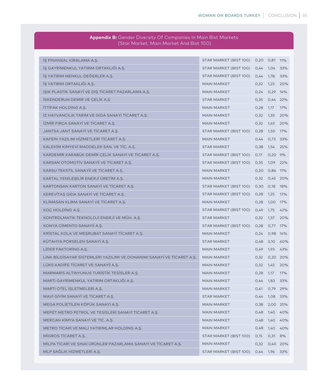| (Star Market, Main Market And Bist 100)                                |                                         |      |               |          |
|------------------------------------------------------------------------|-----------------------------------------|------|---------------|----------|
|                                                                        |                                         |      |               |          |
| İŞ FİNANSAL KİRALAMA A.Ş.                                              | STAR MARKET (BIST 100)                  | 0,20 | 0,81 11%      |          |
| İS GAYRİMENKUL YATIRIM ORTAKLIĞI A.S.                                  | STAR MARKET (BIST 100)                  | 0,44 | 1,04 33%      |          |
| IS YATIRIM MENKUL DEĞERLER A.Ş.                                        | STAR MARKET (BIST 100)                  | 0,44 | 1,78          | 33%      |
| İŞ YATIRIM ORTAKLIĞI A.Ş.                                              | <b>MAIN MARKET</b>                      | 0,32 | 1,23          | 20%      |
| IŞIK PLASTİK SANAYİ VE DIŞ TİCARET PAZARLAMA A.Ş.                      | <b>MAIN MARKET</b>                      | 0,24 | 0,29          | 14%      |
| <b>İSKENDERUN DEMİR VE ÇELİK A.Ş</b>                                   | <b>STAR MARKET</b>                      | 0,35 | 0,44 22%      |          |
| İTTİFAK HOLDİNG A.Ş.                                                   | <b>MAIN MARKET</b>                      | 0,28 | 1,17          | 17%      |
| İZ HAYVANCILIK TARIM VE GIDA SANAYİ TİCARET A.S.                       | <b>MAIN MARKET</b>                      | 0,32 | 1,33          | 20%      |
| İZMİR FIRÇA SANAYİ VE TİCARET A.Ş.                                     | <b>MAIN MARKET</b>                      | 0,32 | 1,63          | 20%      |
| JANTSA JANT SANAYİ VE TİCARET A.Ş.                                     | STAR MARKET (BIST 100)                  | 0,28 | 1,50          | 17%      |
| KAFEİN YAZILIM HİZMETLERİ TİCARET A.Ş.                                 | <b>MAIN MARKET</b>                      | 0,44 |               | 0,73 33% |
| KALEKİM KİMYEVİ MADDELER SAN. VE TİC. A.Ş.                             | <b>STAR MARKET</b>                      | 0,38 | 1,54          | 25%      |
| KARDEMİR KARABÜK DEMİR ÇELİK SANAYİ VE TİCARET A.Ş.                    | STAR MARKET (BIST 100)                  | O,17 | 0,20 9%       |          |
| KARSAN OTOMOTİV SANAYİİ VE TİCARET A.S.                                | STAR MARKET (BIST 100)                  | 0,35 | 1,09 22%      |          |
| KARSU TEKSTİL SANAYİİ VE TİCARET A.S.                                  | <b>MAIN MARKET</b>                      | 0,20 | 0,86 11%      |          |
| KARTAL YENİLEBİLİR ENERJİ ÜRETİM A.Ş.                                  | <b>MAIN MARKET</b>                      | 0,32 |               | 0,45 20% |
| KARTONSAN KARTON SANAYİ VE TİCARET A.S.                                | STAR MARKET (BIST 100)                  | 0,30 | 0,18          | 18%      |
| KEREVITAŞ GIDA SANAYİ VE TİCARET A.Ş.                                  | STAR MARKET (BIST 100)                  | 0,28 | 1,25          | 17%      |
| KLİMASAN KLİMA SANAYİ VE TİCARET A.Ş.                                  | <b>MAIN MARKET</b>                      | 0,28 | 1,00          | 17%      |
| KOÇ HOLDİNG A.Ş.                                                       | STAR MARKET (BIST 100)                  | 0,49 | 1,75          | 42%      |
| KONTROLMATİK TEKNOLOJİ ENERJİ VE MÜH. A.S.                             | <b>STAR MARKET</b>                      | 0,32 | 1,37          | 20%      |
| KONYA ÇİMENTO SANAYİİ A.Ş.                                             | STAR MARKET (BIST 100)                  | 0,28 | 0,77 17%      |          |
| KRISTAL KOLA VE MEŞRUBAT SANAYI TICARET A.Ş.                           | <b>MAIN MARKET</b>                      | 0,24 | 0,98 14%      |          |
| KÜTAHYA PORSELEN SANAYİ A.Ş.                                           | <b>STAR MARKET</b>                      | 0,48 | 3,10          | 60%      |
| LIDER FAKTORING A.S.                                                   | <b>MAIN MARKET</b>                      | 0,49 | 1,93          | 43%      |
| LİNK BİLGİSAYAR SİSTEMLERİ YAZILIMI VE DONANIMI SANAYİ VE TİCARET A.Ş. | <b>MAIN MARKET</b>                      | 0,32 |               | 0,20 20% |
| LÜKS KADİFE TİCARET VE SANAYİİ A.Ş.                                    | <b>MAIN MARKET</b>                      | 0,32 | 1,45          | 20%      |
| MARMARIS ALTINYUNUS TURISTIK TESISLER A.S.                             | <b>MAIN MARKET</b>                      | 0,28 | 1,17          | 17%      |
| MARTI GAYRİMENKUL YATIRIM ORTAKLIĞI A.Ş.                               | <b>MAIN MARKET</b>                      |      | 0,44 1,83 33% |          |
| MARTI OTEL İŞLETMELERİ A.Ş.                                            | <b>MAIN MARKET</b>                      | 0,41 |               | 0,79 29% |
| MAVİ GİYİM SANAYİ VE TİCARET A.S.                                      | <b>STAR MARKET</b>                      | 0,44 |               | 1,08 33% |
| MEGA POLİETİLEN KÖPÜK SANAYİ A.Ş.                                      | <b>MAIN MARKET</b>                      | 0,38 |               | 2,00 25% |
| MEPET METRO PETROL VE TESİSLERİ SANAYİ TİCARET A.Ş.                    | <b>MAIN MARKET</b>                      | 0,48 |               | 1,40 40% |
| MERCAN KİMYA SANAYİ VE TİC. A.Ş.                                       | <b>MAIN MARKET</b>                      | 0,48 |               | 1,40 40% |
| METRO TİCARİ VE MALİ YATIRIMLAR HOLDİNG A.Ş.                           | <b>MAIN MARKET</b>                      | 0,48 |               | 1,40 40% |
| MIGROS TICARET A.S.                                                    | STAR MARKET (BIST 100)                  | 0,15 | 0,31 8%       |          |
| MİLPA TİCARİ VE SINAİ ÜRÜNLER PAZARLAMA SANAYİ VE TİCARET A.Ş.         | <b>MAIN MARKET</b>                      | 0,32 |               | 0,40 20% |
| MLP SAĞLIK HİZMETLERİ A.Ş.                                             | STAR MARKET (BIST 100)  0,44  1,96  33% |      |               |          |

# **Appendix B:** Gender Diversity Of Companies In Main Bist Markets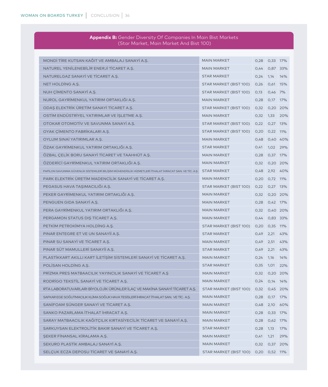| (Star Market, Main Market And Bist 100)                                                              |                        |      |               |          |
|------------------------------------------------------------------------------------------------------|------------------------|------|---------------|----------|
|                                                                                                      |                        |      |               |          |
| MONDİ TİRE KUTSAN KAĞIT VE AMBALAJ SANAYİ A.Ş.                                                       | <b>MAIN MARKET</b>     | 0,28 | 0,33 17%      |          |
| NATUREL YENİLENEBİLİR ENERJİ TİCARET A.S.                                                            | <b>MAIN MARKET</b>     | 0,44 |               | 0,87 33% |
| NATURELGAZ SANAYİ VE TİCARET A.Ş.                                                                    | <b>STAR MARKET</b>     | 0,24 | 1,14          | 14%      |
| NET HOLDING A.Ş.                                                                                     | STAR MARKET (BIST 100) | 0,26 | 0,61 15%      |          |
| NUH ÇİMENTO SANAYİ A.Ş.                                                                              | STAR MARKET (BIST 100) | 0,13 | 0,46          | 7%       |
| NUROL GAYRİMENKUL YATIRIM ORTAKLIĞI A.Ş.                                                             | <b>MAIN MARKET</b>     | 0,28 | O,17          | 17%      |
| ODAŞ ELEKTRİK ÜRETİM SANAYİ TİCARET A.Ş.                                                             | STAR MARKET (BIST 100) | 0,32 |               | 0,20 20% |
| OSTİM ENDÜSTRİYEL YATIRIMLAR VE İŞLETME A.Ş.                                                         | <b>MAIN MARKET</b>     | 0,32 | 1,33          | 20%      |
| OTOKAR OTOMOTİV VE SAVUNMA SANAYİ A.S.                                                               | STAR MARKET (BIST 100) | O,22 | 0,27          | 13%      |
| OYAK ÇİMENTO FABRİKALARI A.Ş.                                                                        | STAR MARKET (BIST 100) | O,2O | $0,22$ 11%    |          |
| OYLUM SINAİ YATIRIMLAR A.Ş.                                                                          | <b>MAIN MARKET</b>     | 0,48 | 0,40 40%      |          |
| ÖZAK GAYRİMENKUL YATIRIM ORTAKLIĞI A.S.                                                              | <b>STAR MARKET</b>     | O,41 | 1,02          | 29%      |
| ÖZBAL ÇELİK BORU SANAYİ TİCARET VE TAAHHÜT A.Ş.                                                      | <b>MAIN MARKET</b>     | 0,28 | 0,37          | 17%      |
| ÖZDERİCİ GAYRİMENKUL YATIRIM ORTAKLIĞI A.Ş.                                                          | <b>MAIN MARKET</b>     | 0,32 |               | 0,20 20% |
| PAPİLON SAVUNMA GÜVENLİK SİSTEMLERİ BİLİŞİM MÜHENDİSLİK HİZMETLERİ İTHALAT İHRACAT SAN. VE TİC. A.Ş. | <b>STAR MARKET</b>     | 0,48 |               | 2,92 40% |
| PARK ELEKTRİK ÜRETİM MADENCİLİK SANAYİ VE TİCARET A.S.                                               | <b>MAIN MARKET</b>     | 0,20 | 0,72 11%      |          |
| PEGASUS HAVA TAŞIMACILIĞI A.Ş.                                                                       | STAR MARKET (BIST 100) | O,22 | 0,27          | 13%      |
| PEKER GAYRİMENKUL YATIRIM ORTAKLIĞI A.Ş.                                                             | <b>MAIN MARKET</b>     | 0,32 |               | 0,20 20% |
| PENGUEN GIDA SANAYI A.S.                                                                             | <b>MAIN MARKET</b>     | 0,28 | 0,42 17%      |          |
| PERA GAYRİMENKUL YATIRIM ORTAKLIĞI A.Ş.                                                              | <b>MAIN MARKET</b>     | 0,32 |               | 0,40 20% |
| PERGAMON STATUS DIŞ TİCARET A.Ş.                                                                     | <b>MAIN MARKET</b>     | 0,44 | 0,83 33%      |          |
| PETKIM PETROKIMYA HOLDING A.S.                                                                       | STAR MARKET (BIST 100) | O,2O | 0,35          | 11%      |
| PINAR ENTEGRE ET VE UN SANAYII A.S.                                                                  | <b>STAR MARKET</b>     | O,49 | 2,21          | 43%      |
| PINAR SU SANAYI VE TICARET A.S.                                                                      | <b>MAIN MARKET</b>     | 0,49 | 2,51          | 43%      |
| PINAR SÜT MAMULLERİ SANAYİİ A.S.                                                                     | <b>STAR MARKET</b>     | O,49 | 2,21          | 43%      |
| PLASTİKKART AKILLI KART İLETİŞİM SİSTEMLERİ SANAYİ VE TİCARET A.Ş.                                   | <b>MAIN MARKET</b>     | 0,24 | 1,16          | 14%      |
| POLISAN HOLDING A.S.                                                                                 | <b>STAR MARKET</b>     | 0,35 | 1,01          | 22%      |
| PRIZMA PRES MATBAACILIK YAYINCILIK SANAYI VE TICARET A.Ş                                             | <b>MAIN MARKET</b>     | 0,32 |               | 0,20 20% |
| RODRİGO TEKSTİL SANAYİ VE TİCARET A.Ş.                                                               | <b>MAIN MARKET</b>     | 0,24 | 0,14          | 14%      |
| RTA LABORATUVARLARI BİYOLOJİK ÜRÜNLER İLAÇ VE MAKİNA SANAYİ TİCARET A.Ş.                             | STAR MARKET (BIST 100) | O,32 |               | 0,45 20% |
| SAFKAR EGE SOĞUTMACILIK KLİMA SOĞUK HAVA TESİSLERİ İHRACAT İTHALAT SAN. VE TİC. A.Ş.                 | <b>MAIN MARKET</b>     | 0,28 | O,17          | 17%      |
| SANİFOAM SÜNGER SANAYİ VE TİCARET A.Ş.                                                               | <b>MAIN MARKET</b>     | 0,48 | 2,10          | 60%      |
| SANKO PAZARLAMA İTHALAT İHRACAT A.Ş.                                                                 | <b>MAIN MARKET</b>     | 0,28 | 0,33 17%      |          |
| SARAY MATBAACILIK KAĞITÇILIK KIRTASİYECİLİK TİCARET VE SANAYİ A.Ş.                                   | <b>MAIN MARKET</b>     | 0,28 | 0,62          | 17%      |
| SARKUYSAN ELEKTROLİTİK BAKIR SANAYİ VE TİCARET A.Ş.                                                  | <b>STAR MARKET</b>     | 0,28 | 1,13          | 17%      |
| ŞEKER FİNANSAL KİRALAMA A.Ş.                                                                         | <b>MAIN MARKET</b>     | 0,41 | 1,21          | 29%      |
| SEKURO PLASTİK AMBALAJ SANAYİ A.Ş.                                                                   | <b>MAIN MARKET</b>     | 0,32 |               | 0,37 20% |
| SELÇUK ECZA DEPOSU TİCARET VE SANAYİ A.Ş.                                                            | STAR MARKET (BIST 100) |      | 0,20 0,52 11% |          |

# **Appendix B:** Gender Diversity Of Companies In Main Bist Markets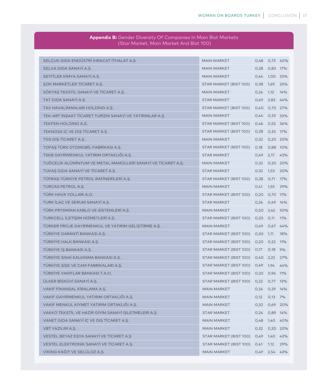| er Biversie, Or Sonipanies in it<br>(Star Market, Main Market And Bist 100) |                                      |      |               |          |  |  |  |
|-----------------------------------------------------------------------------|--------------------------------------|------|---------------|----------|--|--|--|
|                                                                             |                                      |      |               |          |  |  |  |
| SELÇUK GIDA ENDÜSTRİ İHRACAT İTHALAT A.Ş.                                   | <b>MAIN MARKET</b>                   | 0,48 |               | 0,73 40% |  |  |  |
| SELVA GIDA SANAYİ A.Ş.                                                      | <b>MAIN MARKET</b>                   | 0,28 | 0,83 17%      |          |  |  |  |
| SEYİTLER KİMYA SANAYİ A.S.                                                  | <b>MAIN MARKET</b>                   | 0,44 | 1,00 33%      |          |  |  |  |
| ŞOK MARKETLER TİCARET A.Ş.                                                  | STAR MARKET (BIST 100)               | 0,38 | 1,69 25%      |          |  |  |  |
| SÖKTAŞ TEKSTİL SANAYİ VE TİCARET A.Ş.                                       | <b>MAIN MARKET</b>                   | 0,24 | 1,12 14%      |          |  |  |  |
| TAT GIDA SANAYİ A.Ş.                                                        | <b>STAR MARKET</b>                   | 0,49 | 2,83 44%      |          |  |  |  |
| TAV HAVALİMANLARI HOLDİNG A.Ş.                                              | STAR MARKET (BIST 100)               | O,4O | 0,70 27%      |          |  |  |  |
| TEK-ART İNŞAAT TİCARET TURİZM SANAYİ VE YATIRIMLAR A.Ş.                     | <b>MAIN MARKET</b>                   | 0,44 | 0,33 33%      |          |  |  |  |
| TEKFEN HOLDING A.Ş.                                                         | STAR MARKET (BIST 100)               | 0,46 | 0,55 36%      |          |  |  |  |
| TEKNOSA İÇ VE DIŞ TİCARET A.Ş.                                              | STAR MARKET (BIST 100)               | 0,28 | 0,33 17%      |          |  |  |  |
| TGS DIS TICARET A.S.                                                        | <b>MAIN MARKET</b>                   | 0,32 | 0,20 20%      |          |  |  |  |
| TOFAŞ TÜRK OTOMOBİL FABRİKASI A.Ş.                                          | STAR MARKET (BIST 100)               | 0,18 | 0,88 10%      |          |  |  |  |
| TSKB GAYRİMENKUL YATIRIM ORTAKLIĞI A.S.                                     | <b>STAR MARKET</b>                   | 0,49 | 2,17 43%      |          |  |  |  |
| TUĞÇELİK ALÜMİNYUM VE METAL MAMÜLLERİ SANAYİ VE TİCARET A.Ş.                | <b>MAIN MARKET</b>                   | 0,32 |               | 0,20 20% |  |  |  |
| TUKAŞ GIDA SANAYİ VE TİCARET A.Ş.                                           | <b>STAR MARKET</b>                   | 0,32 | 1,53 20%      |          |  |  |  |
| TÜPRAS-TÜRKİYE PETROL RAFİNERİLERİ A.S.                                     | STAR MARKET (BIST 100)               | 0,28 | 0,71 17%      |          |  |  |  |
| TURCAS PETROL A.Ş.                                                          | <b>MAIN MARKET</b>                   | 0,41 | 1,55 29%      |          |  |  |  |
| TÜRK HAVA YOLLARI A.O.                                                      | STAR MARKET (BIST 100)               | O,2O | 0,70 11%      |          |  |  |  |
| TURK İLAÇ VE SERUM SANAYİ A.Ş.                                              | <b>STAR MARKET</b>                   | 0,24 | 0,49 14%      |          |  |  |  |
| TÜRK PRYSMİAN KABLO VE SİSTEMLERİ A.Ş.                                      | <b>MAIN MARKET</b>                   | 0,50 | 2,42 50%      |          |  |  |  |
| TURKCELL İLETİŞİM HİZMETLERİ A.Ş.                                           | STAR MARKET (BIST 100)               | O,2O | $0,11$ 11%    |          |  |  |  |
| TÜRKER PROJE GAYRİMENKUL VE YATIRIM GELİŞTİRME A.Ş.                         | <b>MAIN MARKET</b>                   | 0,49 | $0,67$ 44%    |          |  |  |  |
| TÜRKİYE GARANTİ BANKASI A.Ş.                                                | STAR MARKET (BIST 100)               | 0,30 | 1,11          | 18%      |  |  |  |
| TÜRKİYE HALK BANKASI A.Ş.                                                   | STAR MARKET (BIST 100)               | O,2O | $0,22$ 11%    |          |  |  |  |
| TÜRKİYE İŞ BANKASI A.Ş.                                                     | STAR MARKET (BIST 100) 0,17          |      | 0,18 9%       |          |  |  |  |
| TÜRKİYE SINAİ KALKINMA BANKASI A.S.                                         | STAR MARKET (BIST 100)               | O,4O | 2,22 27%      |          |  |  |  |
| TÜRKİYE ŞİŞE VE CAM FABRİKALARI A.Ş.                                        | STAR MARKET (BIST 100) 0,49          |      | 1,94 44%      |          |  |  |  |
| TÜRKİYE VAKIFLAR BANKASI T.A.O.                                             | STAR MARKET (BIST 100) 0,20 0,96 11% |      |               |          |  |  |  |
| ÜLKER BİSKÜVİ SANAYİ A.Ş.                                                   | STAR MARKET (BIST 100) 0,22 0,77 13% |      |               |          |  |  |  |
| VAKIF FİNANSAL KİRALAMA A.Ş.                                                | <b>MAIN MARKET</b>                   |      | 0,24 0,29 14% |          |  |  |  |
| VAKIF GAYRİMENKUL YATIRIM ORTAKLIĞI A.Ş.                                    | <b>MAIN MARKET</b>                   | 0,12 | $0,13$ 7%     |          |  |  |  |
| VAKIF MENKUL KIYMET YATIRIM ORTAKLIĞI A.Ş.                                  | <b>MAIN MARKET</b>                   | 0,32 |               | 0,69 20% |  |  |  |
| VAKKO TEKSTİL VE HAZIR GİYİM SANAYİ İŞLETMELERİ A.Ş.                        | <b>STAR MARKET</b>                   |      | 0,24 0,89 14% |          |  |  |  |
| VANET GIDA SANAYİ İÇ VE DIŞ TİCARET A.Ş.                                    | MAIN MARKET                          |      | 0,48 1,40 40% |          |  |  |  |
| <b>VBT YAZILIM A.S.</b>                                                     | <b>MAIN MARKET</b>                   |      | 0,32 0,20 20% |          |  |  |  |
| VESTEL BEYAZ EŞYA SANAYİ VE TİCARET A.Ş                                     | STAR MARKET (BIST 100) 0,49          |      | 1,40 43%      |          |  |  |  |
| VESTEL ELEKTRONIK SANAYI VE TICARET A.Ş.                                    | STAR MARKET (BIST 100) 0,41          |      | 1,12          | 29%      |  |  |  |
| VİKİNG KAĞIT VE SELÜLOZ A.Ş.                                                | MAIN MARKET                          |      | 0,49 2,54 43% |          |  |  |  |

# **Appendix B:** Gender Diversity Of Companies In Main Bist Market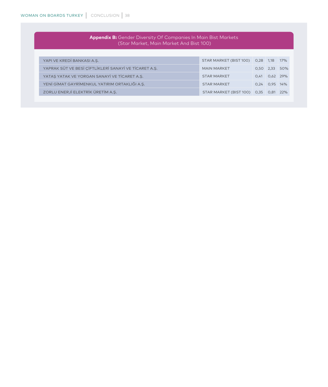| <b>Appendix B:</b> Gender Diversity Of Companies In Main Bist Markets<br>(Star Market, Main Market And Bist 100) |                        |               |                   |     |  |  |
|------------------------------------------------------------------------------------------------------------------|------------------------|---------------|-------------------|-----|--|--|
|                                                                                                                  |                        |               |                   |     |  |  |
| YAPI VE KREDI BANKASI A.S.                                                                                       | STAR MARKET (BIST 100) | $0.28$ 1.18   |                   | 17% |  |  |
| YAPRAK SÜT VE BESİ ÇİFTLİKLERİ SANAYİ VE TİCARET A.Ş.                                                            | <b>MAIN MARKET</b>     |               | $0,50$ 2,33       | 50% |  |  |
| YATAS YATAK VE YORGAN SANAYİ VE TİCARET A.Ş.                                                                     | <b>STAR MARKET</b>     |               | 0,41 0,62 29%     |     |  |  |
| YENİ GİMAT GAYRİMENKUL YATIRIM ORTAKLIĞI A.Ş.                                                                    | <b>STAR MARKET</b>     |               | $0.24$ $0.95$ 14% |     |  |  |
| ZORLU ENERJİ ELEKTRİK ÜRETİM A.Ş.                                                                                | STAR MARKET (BIST 100) | $0.35$ $0.81$ |                   | 22% |  |  |